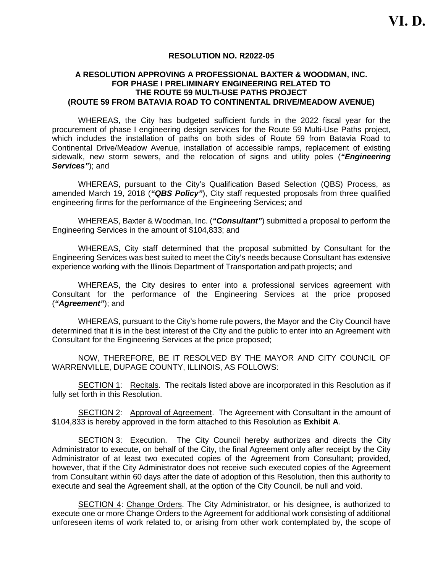#### **RESOLUTION NO. R2022-05**

#### **A RESOLUTION APPROVING A PROFESSIONAL BAXTER & WOODMAN, INC. FOR PHASE I PRELIMINARY ENGINEERING RELATED TO THE ROUTE 59 MULTI-USE PATHS PROJECT (ROUTE 59 FROM BATAVIA ROAD TO CONTINENTAL DRIVE/MEADOW AVENUE)**

WHEREAS, the City has budgeted sufficient funds in the 2022 fiscal year for the procurement of phase I engineering design services for the Route 59 Multi-Use Paths project, which includes the installation of paths on both sides of Route 59 from Batavia Road to Continental Drive/Meadow Avenue, installation of accessible ramps, replacement of existing sidewalk, new storm sewers, and the relocation of signs and utility poles (*"Engineering Services"*); and

WHEREAS, pursuant to the City's Qualification Based Selection (QBS) Process, as amended March 19, 2018 (*"QBS Policy"*), City staff requested proposals from three qualified engineering firms for the performance of the Engineering Services; and

WHEREAS, Baxter & Woodman, Inc. (*"Consultant"*) submitted a proposal to perform the Engineering Services in the amount of \$104,833; and

WHEREAS, City staff determined that the proposal submitted by Consultant for the Engineering Services was best suited to meet the City's needs because Consultant has extensive experience working with the Illinois Department of Transportation and path projects; and

WHEREAS, the City desires to enter into a professional services agreement with Consultant for the performance of the Engineering Services at the price proposed (*"Agreement"*); and

WHEREAS, pursuant to the City's home rule powers, the Mayor and the City Council have determined that it is in the best interest of the City and the public to enter into an Agreement with Consultant for the Engineering Services at the price proposed;

NOW, THEREFORE, BE IT RESOLVED BY THE MAYOR AND CITY COUNCIL OF WARRENVILLE, DUPAGE COUNTY, ILLINOIS, AS FOLLOWS:

SECTION 1: Recitals. The recitals listed above are incorporated in this Resolution as if fully set forth in this Resolution.

SECTION 2: Approval of Agreement. The Agreement with Consultant in the amount of \$104,833 is hereby approved in the form attached to this Resolution as **Exhibit A**.

SECTION 3: Execution. The City Council hereby authorizes and directs the City Administrator to execute, on behalf of the City, the final Agreement only after receipt by the City Administrator of at least two executed copies of the Agreement from Consultant; provided, however, that if the City Administrator does not receive such executed copies of the Agreement from Consultant within 60 days after the date of adoption of this Resolution, then this authority to execute and seal the Agreement shall, at the option of the City Council, be null and void.

SECTION 4: Change Orders. The City Administrator, or his designee, is authorized to execute one or more Change Orders to the Agreement for additional work consisting of additional unforeseen items of work related to, or arising from other work contemplated by, the scope of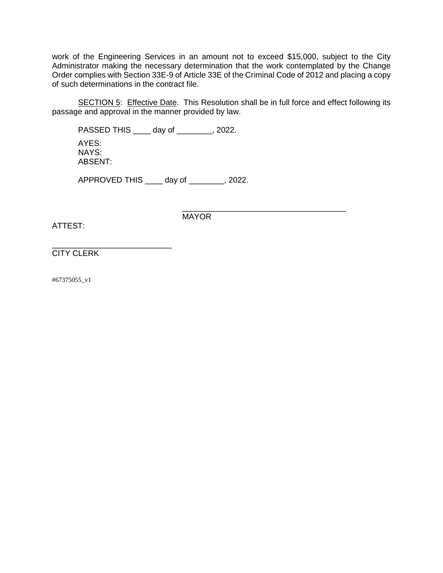work of the Engineering Services in an amount not to exceed \$15,000, subject to the City Administrator making the necessary determination that the work contemplated by the Change Order complies with Section 33E-9 of Article 33E of the Criminal Code of 2012 and placing a copy of such determinations in the contract file.

SECTION 5: Effective Date. This Resolution shall be in full force and effect following its passage and approval in the manner provided by law.

PASSED THIS \_\_\_\_ day of \_\_\_\_\_\_\_\_, 2022. AYES: NAYS: ABSENT:

APPROVED THIS \_\_\_\_ day of \_\_\_\_\_\_\_\_, 2022.

\_\_\_\_\_\_\_\_\_\_\_\_\_\_\_\_\_\_\_\_\_\_\_\_\_\_\_\_\_\_\_\_\_\_\_\_\_ MAYOR

ATTEST:

\_\_\_\_\_\_\_\_\_\_\_\_\_\_\_\_\_\_\_\_\_\_\_\_\_\_\_ CITY CLERK

#67375055\_v1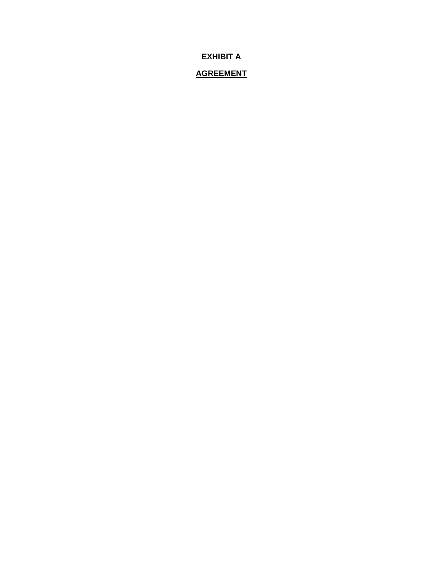**EXHIBIT A**

## **AGREEMENT**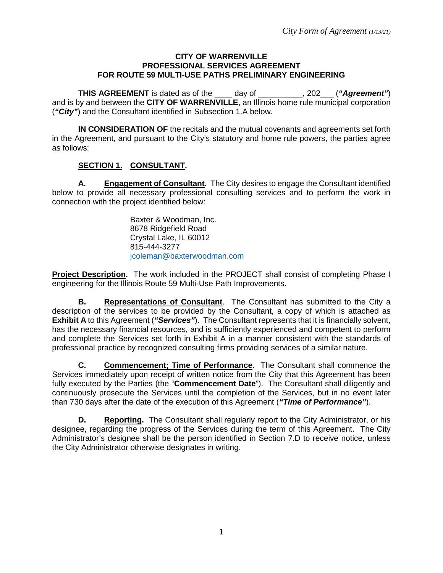### **CITY OF WARRENVILLE PROFESSIONAL SERVICES AGREEMENT FOR ROUTE 59 MULTI-USE PATHS PRELIMINARY ENGINEERING**

**THIS AGREEMENT** is dated as of the \_\_\_\_ day of \_\_\_\_\_\_\_\_\_\_, 202\_\_\_ (*"Agreement"*) and is by and between the **CITY OF WARRENVILLE**, an Illinois home rule municipal corporation (*"City"*) and the Consultant identified in Subsection 1.A below.

**IN CONSIDERATION OF** the recitals and the mutual covenants and agreements set forth in the Agreement, and pursuant to the City's statutory and home rule powers, the parties agree as follows:

## **SECTION 1. CONSULTANT.**

**A. Engagement of Consultant.** The City desires to engage the Consultant identified below to provide all necessary professional consulting services and to perform the work in connection with the project identified below:

> Baxter & Woodman, Inc. 8678 Ridgefield Road Crystal Lake, IL 60012 815-444-3277 [jcoleman@baxterwoodman.com](mailto:jcoleman@baxterwoodman.com)

**Project Description.** The work included in the PROJECT shall consist of completing Phase I engineering for the Illinois Route 59 Multi-Use Path Improvements.

**B. Representations of Consultant**. The Consultant has submitted to the City a description of the services to be provided by the Consultant, a copy of which is attached as **Exhibit A** to this Agreement (*"Services"*). The Consultant represents that it is financially solvent, has the necessary financial resources, and is sufficiently experienced and competent to perform and complete the Services set forth in Exhibit A in a manner consistent with the standards of professional practice by recognized consulting firms providing services of a similar nature.

**C. Commencement; Time of Performance.** The Consultant shall commence the Services immediately upon receipt of written notice from the City that this Agreement has been fully executed by the Parties (the "**Commencement Date**"). The Consultant shall diligently and continuously prosecute the Services until the completion of the Services, but in no event later than 730 days after the date of the execution of this Agreement (*"Time of Performance"*).

**D. Reporting.** The Consultant shall regularly report to the City Administrator, or his designee, regarding the progress of the Services during the term of this Agreement. The City Administrator's designee shall be the person identified in Section 7.D to receive notice, unless the City Administrator otherwise designates in writing.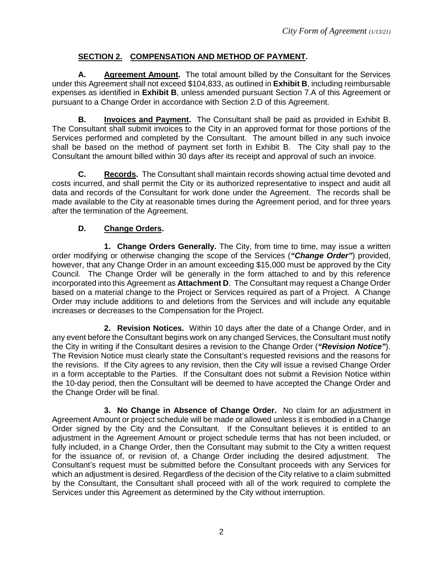# **SECTION 2. COMPENSATION AND METHOD OF PAYMENT.**

**A. Agreement Amount.** The total amount billed by the Consultant for the Services under this Agreement shall not exceed \$104,833, as outlined in **Exhibit B**, including reimbursable expenses as identified in **Exhibit B**, unless amended pursuant Section 7.A of this Agreement or pursuant to a Change Order in accordance with Section 2.D of this Agreement.

**B. Invoices and Payment.** The Consultant shall be paid as provided in Exhibit B. The Consultant shall submit invoices to the City in an approved format for those portions of the Services performed and completed by the Consultant. The amount billed in any such invoice shall be based on the method of payment set forth in Exhibit B. The City shall pay to the Consultant the amount billed within 30 days after its receipt and approval of such an invoice.

**C. Records.** The Consultant shall maintain records showing actual time devoted and costs incurred, and shall permit the City or its authorized representative to inspect and audit all data and records of the Consultant for work done under the Agreement. The records shall be made available to the City at reasonable times during the Agreement period, and for three years after the termination of the Agreement.

# **D. Change Orders.**

**1. Change Orders Generally.** The City, from time to time, may issue a written order modifying or otherwise changing the scope of the Services (*"Change Order"*) provided, however, that any Change Order in an amount exceeding \$15,000 must be approved by the City Council. The Change Order will be generally in the form attached to and by this reference incorporated into this Agreement as **Attachment D**. The Consultant may request a Change Order based on a material change to the Project or Services required as part of a Project. A Change Order may include additions to and deletions from the Services and will include any equitable increases or decreases to the Compensation for the Project.

**2. Revision Notices.** Within 10 days after the date of a Change Order, and in any event before the Consultant begins work on any changed Services, the Consultant must notify the City in writing if the Consultant desires a revision to the Change Order (*"Revision Notice"*). The Revision Notice must clearly state the Consultant's requested revisions and the reasons for the revisions. If the City agrees to any revision, then the City will issue a revised Change Order in a form acceptable to the Parties. If the Consultant does not submit a Revision Notice within the 10-day period, then the Consultant will be deemed to have accepted the Change Order and the Change Order will be final.

**3. No Change in Absence of Change Order.** No claim for an adjustment in Agreement Amount or project schedule will be made or allowed unless it is embodied in a Change Order signed by the City and the Consultant. If the Consultant believes it is entitled to an adjustment in the Agreement Amount or project schedule terms that has not been included, or fully included, in a Change Order, then the Consultant may submit to the City a written request for the issuance of, or revision of, a Change Order including the desired adjustment. The Consultant's request must be submitted before the Consultant proceeds with any Services for which an adjustment is desired. Regardless of the decision of the City relative to a claim submitted by the Consultant, the Consultant shall proceed with all of the work required to complete the Services under this Agreement as determined by the City without interruption.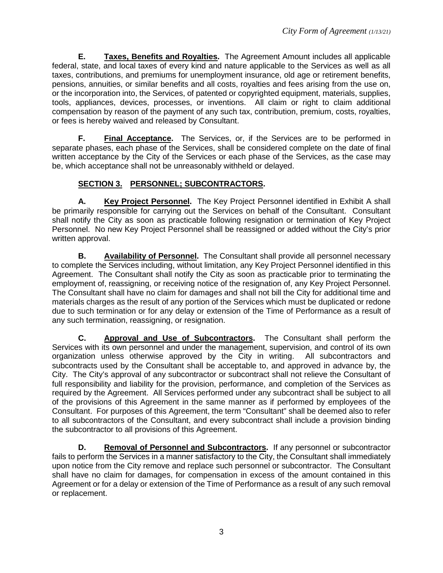**E. Taxes, Benefits and Royalties.** The Agreement Amount includes all applicable federal, state, and local taxes of every kind and nature applicable to the Services as well as all taxes, contributions, and premiums for unemployment insurance, old age or retirement benefits, pensions, annuities, or similar benefits and all costs, royalties and fees arising from the use on, or the incorporation into, the Services, of patented or copyrighted equipment, materials, supplies, tools, appliances, devices, processes, or inventions. All claim or right to claim additional compensation by reason of the payment of any such tax, contribution, premium, costs, royalties, or fees is hereby waived and released by Consultant.

**F. Final Acceptance.** The Services, or, if the Services are to be performed in separate phases, each phase of the Services, shall be considered complete on the date of final written acceptance by the City of the Services or each phase of the Services, as the case may be, which acceptance shall not be unreasonably withheld or delayed.

## **SECTION 3. PERSONNEL; SUBCONTRACTORS.**

**A. Key Project Personnel.** The Key Project Personnel identified in Exhibit A shall be primarily responsible for carrying out the Services on behalf of the Consultant. Consultant shall notify the City as soon as practicable following resignation or termination of Key Project Personnel. No new Key Project Personnel shall be reassigned or added without the City's prior written approval.

**B. Availability of Personnel.** The Consultant shall provide all personnel necessary to complete the Services including, without limitation, any Key Project Personnel identified in this Agreement. The Consultant shall notify the City as soon as practicable prior to terminating the employment of, reassigning, or receiving notice of the resignation of, any Key Project Personnel. The Consultant shall have no claim for damages and shall not bill the City for additional time and materials charges as the result of any portion of the Services which must be duplicated or redone due to such termination or for any delay or extension of the Time of Performance as a result of any such termination, reassigning, or resignation.

**C. Approval and Use of Subcontractors.** The Consultant shall perform the Services with its own personnel and under the management, supervision, and control of its own organization unless otherwise approved by the City in writing. All subcontractors and subcontracts used by the Consultant shall be acceptable to, and approved in advance by, the City. The City's approval of any subcontractor or subcontract shall not relieve the Consultant of full responsibility and liability for the provision, performance, and completion of the Services as required by the Agreement. All Services performed under any subcontract shall be subject to all of the provisions of this Agreement in the same manner as if performed by employees of the Consultant. For purposes of this Agreement, the term "Consultant" shall be deemed also to refer to all subcontractors of the Consultant, and every subcontract shall include a provision binding the subcontractor to all provisions of this Agreement.

**D. Removal of Personnel and Subcontractors.** If any personnel or subcontractor fails to perform the Services in a manner satisfactory to the City, the Consultant shall immediately upon notice from the City remove and replace such personnel or subcontractor. The Consultant shall have no claim for damages, for compensation in excess of the amount contained in this Agreement or for a delay or extension of the Time of Performance as a result of any such removal or replacement.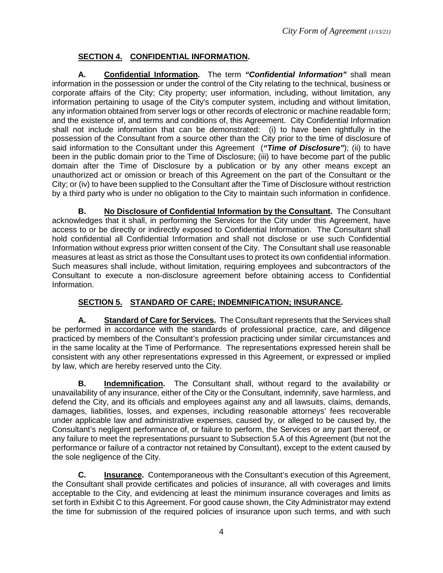# **SECTION 4. CONFIDENTIAL INFORMATION.**

**A. Confidential Information.** The term *"Confidential Information"* shall mean information in the possession or under the control of the City relating to the technical, business or corporate affairs of the City; City property; user information, including, without limitation, any information pertaining to usage of the City's computer system, including and without limitation, any information obtained from server logs or other records of electronic or machine readable form; and the existence of, and terms and conditions of, this Agreement. City Confidential Information shall not include information that can be demonstrated: (i) to have been rightfully in the possession of the Consultant from a source other than the City prior to the time of disclosure of said information to the Consultant under this Agreement (*"Time of Disclosure"*); (ii) to have been in the public domain prior to the Time of Disclosure; (iii) to have become part of the public domain after the Time of Disclosure by a publication or by any other means except an unauthorized act or omission or breach of this Agreement on the part of the Consultant or the City; or (iv) to have been supplied to the Consultant after the Time of Disclosure without restriction by a third party who is under no obligation to the City to maintain such information in confidence.

**B. No Disclosure of Confidential Information by the Consultant.** The Consultant acknowledges that it shall, in performing the Services for the City under this Agreement, have access to or be directly or indirectly exposed to Confidential Information. The Consultant shall hold confidential all Confidential Information and shall not disclose or use such Confidential Information without express prior written consent of the City. The Consultant shall use reasonable measures at least as strict as those the Consultant uses to protect its own confidential information. Such measures shall include, without limitation, requiring employees and subcontractors of the Consultant to execute a non-disclosure agreement before obtaining access to Confidential Information.

# **SECTION 5. STANDARD OF CARE; INDEMNIFICATION; INSURANCE.**

**A. Standard of Care for Services.** The Consultant represents that the Services shall be performed in accordance with the standards of professional practice, care, and diligence practiced by members of the Consultant's profession practicing under similar circumstances and in the same locality at the Time of Performance. The representations expressed herein shall be consistent with any other representations expressed in this Agreement, or expressed or implied by law, which are hereby reserved unto the City.

**B. Indemnification.** The Consultant shall, without regard to the availability or unavailability of any insurance, either of the City or the Consultant, indemnify, save harmless, and defend the City, and its officials and employees against any and all lawsuits, claims, demands, damages, liabilities, losses, and expenses, including reasonable attorneys' fees recoverable under applicable law and administrative expenses, caused by, or alleged to be caused by, the Consultant's negligent performance of, or failure to perform, the Services or any part thereof, or any failure to meet the representations pursuant to Subsection 5.A of this Agreement (but not the performance or failure of a contractor not retained by Consultant), except to the extent caused by the sole negligence of the City.

**C. Insurance.** Contemporaneous with the Consultant's execution of this Agreement, the Consultant shall provide certificates and policies of insurance, all with coverages and limits acceptable to the City, and evidencing at least the minimum insurance coverages and limits as set forth in Exhibit C to this Agreement. For good cause shown, the City Administrator may extend the time for submission of the required policies of insurance upon such terms, and with such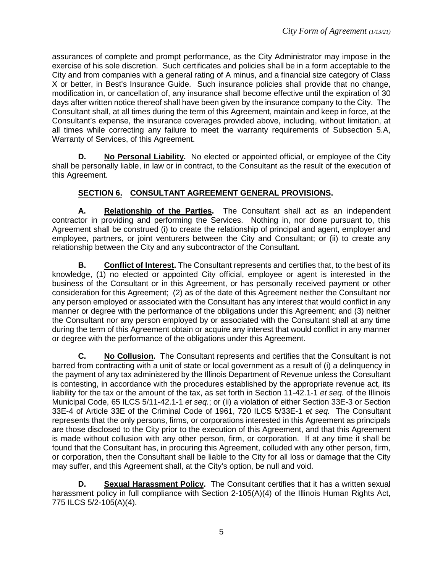assurances of complete and prompt performance, as the City Administrator may impose in the exercise of his sole discretion. Such certificates and policies shall be in a form acceptable to the City and from companies with a general rating of A minus, and a financial size category of Class X or better, in Best's Insurance Guide. Such insurance policies shall provide that no change, modification in, or cancellation of, any insurance shall become effective until the expiration of 30 days after written notice thereof shall have been given by the insurance company to the City. The Consultant shall, at all times during the term of this Agreement, maintain and keep in force, at the Consultant's expense, the insurance coverages provided above, including, without limitation, at all times while correcting any failure to meet the warranty requirements of Subsection 5.A, Warranty of Services, of this Agreement.

**D. No Personal Liability.** No elected or appointed official, or employee of the City shall be personally liable, in law or in contract, to the Consultant as the result of the execution of this Agreement.

## **SECTION 6. CONSULTANT AGREEMENT GENERAL PROVISIONS.**

**A. Relationship of the Parties.** The Consultant shall act as an independent contractor in providing and performing the Services. Nothing in, nor done pursuant to, this Agreement shall be construed (i) to create the relationship of principal and agent, employer and employee, partners, or joint venturers between the City and Consultant; or (ii) to create any relationship between the City and any subcontractor of the Consultant.

**B. Conflict of Interest.** The Consultant represents and certifies that, to the best of its knowledge, (1) no elected or appointed City official, employee or agent is interested in the business of the Consultant or in this Agreement, or has personally received payment or other consideration for this Agreement; (2) as of the date of this Agreement neither the Consultant nor any person employed or associated with the Consultant has any interest that would conflict in any manner or degree with the performance of the obligations under this Agreement; and (3) neither the Consultant nor any person employed by or associated with the Consultant shall at any time during the term of this Agreement obtain or acquire any interest that would conflict in any manner or degree with the performance of the obligations under this Agreement.

**C. No Collusion.** The Consultant represents and certifies that the Consultant is not barred from contracting with a unit of state or local government as a result of (i) a delinquency in the payment of any tax administered by the Illinois Department of Revenue unless the Consultant is contesting, in accordance with the procedures established by the appropriate revenue act, its liability for the tax or the amount of the tax, as set forth in Section 11-42.1-1 *et seq.* of the Illinois Municipal Code, 65 ILCS 5/11-42.1-1 *et seq.*; or (ii) a violation of either Section 33E-3 or Section 33E-4 of Article 33E of the Criminal Code of 1961, 720 ILCS 5/33E-1 *et seq.* The Consultant represents that the only persons, firms, or corporations interested in this Agreement as principals are those disclosed to the City prior to the execution of this Agreement, and that this Agreement is made without collusion with any other person, firm, or corporation. If at any time it shall be found that the Consultant has, in procuring this Agreement, colluded with any other person, firm, or corporation, then the Consultant shall be liable to the City for all loss or damage that the City may suffer, and this Agreement shall, at the City's option, be null and void.

**D. Sexual Harassment Policy.** The Consultant certifies that it has a written sexual harassment policy in full compliance with Section 2-105(A)(4) of the Illinois Human Rights Act, 775 ILCS 5/2-105(A)(4).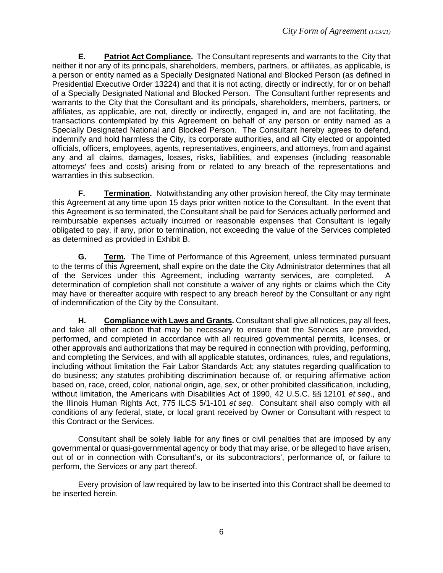**E. Patriot Act Compliance.** The Consultant represents and warrants to the City that neither it nor any of its principals, shareholders, members, partners, or affiliates, as applicable, is a person or entity named as a Specially Designated National and Blocked Person (as defined in Presidential Executive Order 13224) and that it is not acting, directly or indirectly, for or on behalf of a Specially Designated National and Blocked Person. The Consultant further represents and warrants to the City that the Consultant and its principals, shareholders, members, partners, or affiliates, as applicable, are not, directly or indirectly, engaged in, and are not facilitating, the transactions contemplated by this Agreement on behalf of any person or entity named as a Specially Designated National and Blocked Person. The Consultant hereby agrees to defend, indemnify and hold harmless the City, its corporate authorities, and all City elected or appointed officials, officers, employees, agents, representatives, engineers, and attorneys, from and against any and all claims, damages, losses, risks, liabilities, and expenses (including reasonable attorneys' fees and costs) arising from or related to any breach of the representations and warranties in this subsection.

**F. Termination.** Notwithstanding any other provision hereof, the City may terminate this Agreement at any time upon 15 days prior written notice to the Consultant. In the event that this Agreement is so terminated, the Consultant shall be paid for Services actually performed and reimbursable expenses actually incurred or reasonable expenses that Consultant is legally obligated to pay, if any, prior to termination, not exceeding the value of the Services completed as determined as provided in Exhibit B.

**G. Term.** The Time of Performance of this Agreement, unless terminated pursuant to the terms of this Agreement, shall expire on the date the City Administrator determines that all of the Services under this Agreement, including warranty services, are completed. A determination of completion shall not constitute a waiver of any rights or claims which the City may have or thereafter acquire with respect to any breach hereof by the Consultant or any right of indemnification of the City by the Consultant.

**H. Compliance with Laws and Grants.** Consultant shall give all notices, pay all fees, and take all other action that may be necessary to ensure that the Services are provided, performed, and completed in accordance with all required governmental permits, licenses, or other approvals and authorizations that may be required in connection with providing, performing, and completing the Services, and with all applicable statutes, ordinances, rules, and regulations, including without limitation the Fair Labor Standards Act; any statutes regarding qualification to do business; any statutes prohibiting discrimination because of, or requiring affirmative action based on, race, creed, color, national origin, age, sex, or other prohibited classification, including, without limitation, the Americans with Disabilities Act of 1990, 42 U.S.C. §§ 12101 *et seq*., and the Illinois Human Rights Act, 775 ILCS 5/1-101 *et seq*. Consultant shall also comply with all conditions of any federal, state, or local grant received by Owner or Consultant with respect to this Contract or the Services.

Consultant shall be solely liable for any fines or civil penalties that are imposed by any governmental or quasi-governmental agency or body that may arise, or be alleged to have arisen, out of or in connection with Consultant's, or its subcontractors', performance of, or failure to perform, the Services or any part thereof.

Every provision of law required by law to be inserted into this Contract shall be deemed to be inserted herein.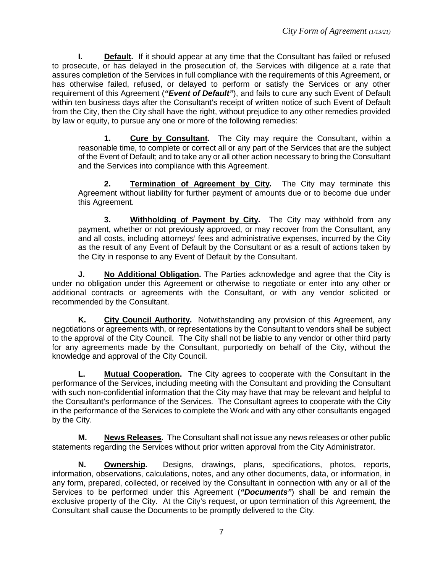**I. Default.** If it should appear at any time that the Consultant has failed or refused to prosecute, or has delayed in the prosecution of, the Services with diligence at a rate that assures completion of the Services in full compliance with the requirements of this Agreement, or has otherwise failed, refused, or delayed to perform or satisfy the Services or any other requirement of this Agreement (*"Event of Default"*), and fails to cure any such Event of Default within ten business days after the Consultant's receipt of written notice of such Event of Default from the City, then the City shall have the right, without prejudice to any other remedies provided by law or equity, to pursue any one or more of the following remedies:

**1. Cure by Consultant.** The City may require the Consultant, within a reasonable time, to complete or correct all or any part of the Services that are the subject of the Event of Default; and to take any or all other action necessary to bring the Consultant and the Services into compliance with this Agreement.

**2. Termination of Agreement by City.** The City may terminate this Agreement without liability for further payment of amounts due or to become due under this Agreement.

**3. Withholding of Payment by City.** The City may withhold from any payment, whether or not previously approved, or may recover from the Consultant, any and all costs, including attorneys' fees and administrative expenses, incurred by the City as the result of any Event of Default by the Consultant or as a result of actions taken by the City in response to any Event of Default by the Consultant.

**J. No Additional Obligation.** The Parties acknowledge and agree that the City is under no obligation under this Agreement or otherwise to negotiate or enter into any other or additional contracts or agreements with the Consultant, or with any vendor solicited or recommended by the Consultant.

**K. City Council Authority.** Notwithstanding any provision of this Agreement, any negotiations or agreements with, or representations by the Consultant to vendors shall be subject to the approval of the City Council. The City shall not be liable to any vendor or other third party for any agreements made by the Consultant, purportedly on behalf of the City, without the knowledge and approval of the City Council.

**L. Mutual Cooperation.** The City agrees to cooperate with the Consultant in the performance of the Services, including meeting with the Consultant and providing the Consultant with such non-confidential information that the City may have that may be relevant and helpful to the Consultant's performance of the Services. The Consultant agrees to cooperate with the City in the performance of the Services to complete the Work and with any other consultants engaged by the City.

**M. News Releases.** The Consultant shall not issue any news releases or other public statements regarding the Services without prior written approval from the City Administrator.

**N. Ownership.** Designs, drawings, plans, specifications, photos, reports, information, observations, calculations, notes, and any other documents, data, or information, in any form, prepared, collected, or received by the Consultant in connection with any or all of the Services to be performed under this Agreement (*"Documents"*) shall be and remain the exclusive property of the City. At the City's request, or upon termination of this Agreement, the Consultant shall cause the Documents to be promptly delivered to the City.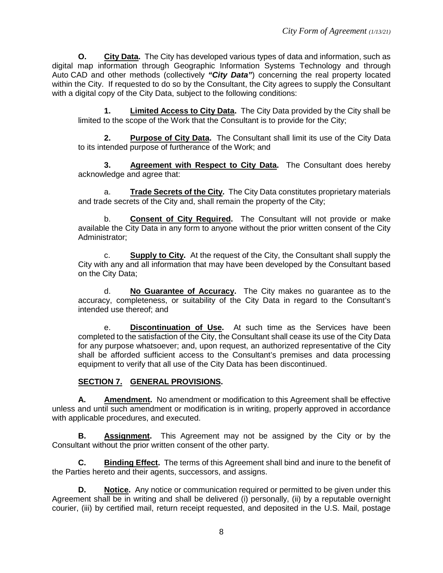**O. City Data.** The City has developed various types of data and information, such as digital map information through Geographic Information Systems Technology and through Auto CAD and other methods (collectively *"City Data"*) concerning the real property located within the City. If requested to do so by the Consultant, the City agrees to supply the Consultant with a digital copy of the City Data, subject to the following conditions:

**1. Limited Access to City Data.** The City Data provided by the City shall be limited to the scope of the Work that the Consultant is to provide for the City;

**2. Purpose of City Data.** The Consultant shall limit its use of the City Data to its intended purpose of furtherance of the Work; and

**3. Agreement with Respect to City Data.** The Consultant does hereby acknowledge and agree that:

a. **Trade Secrets of the City.** The City Data constitutes proprietary materials and trade secrets of the City and, shall remain the property of the City;

b. **Consent of City Required.** The Consultant will not provide or make available the City Data in any form to anyone without the prior written consent of the City Administrator;

c. **Supply to City.** At the request of the City, the Consultant shall supply the City with any and all information that may have been developed by the Consultant based on the City Data;

d. **No Guarantee of Accuracy.** The City makes no guarantee as to the accuracy, completeness, or suitability of the City Data in regard to the Consultant's intended use thereof; and

e. **Discontinuation of Use.** At such time as the Services have been completed to the satisfaction of the City, the Consultant shall cease its use of the City Data for any purpose whatsoever; and, upon request, an authorized representative of the City shall be afforded sufficient access to the Consultant's premises and data processing equipment to verify that all use of the City Data has been discontinued.

## **SECTION 7. GENERAL PROVISIONS.**

**A. Amendment.** No amendment or modification to this Agreement shall be effective unless and until such amendment or modification is in writing, properly approved in accordance with applicable procedures, and executed.

**B. Assignment.** This Agreement may not be assigned by the City or by the Consultant without the prior written consent of the other party.

**C. Binding Effect.** The terms of this Agreement shall bind and inure to the benefit of the Parties hereto and their agents, successors, and assigns.

**D. Notice.** Any notice or communication required or permitted to be given under this Agreement shall be in writing and shall be delivered (i) personally, (ii) by a reputable overnight courier, (iii) by certified mail, return receipt requested, and deposited in the U.S. Mail, postage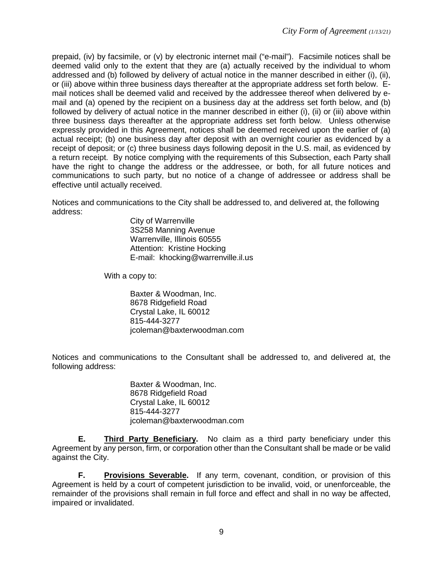prepaid, (iv) by facsimile, or (v) by electronic internet mail ("e-mail"). Facsimile notices shall be deemed valid only to the extent that they are (a) actually received by the individual to whom addressed and (b) followed by delivery of actual notice in the manner described in either (i), (ii), or (iii) above within three business days thereafter at the appropriate address set forth below. Email notices shall be deemed valid and received by the addressee thereof when delivered by email and (a) opened by the recipient on a business day at the address set forth below, and (b) followed by delivery of actual notice in the manner described in either (i), (ii) or (iii) above within three business days thereafter at the appropriate address set forth below. Unless otherwise expressly provided in this Agreement, notices shall be deemed received upon the earlier of (a) actual receipt; (b) one business day after deposit with an overnight courier as evidenced by a receipt of deposit; or (c) three business days following deposit in the U.S. mail, as evidenced by a return receipt. By notice complying with the requirements of this Subsection, each Party shall have the right to change the address or the addressee, or both, for all future notices and communications to such party, but no notice of a change of addressee or address shall be effective until actually received.

Notices and communications to the City shall be addressed to, and delivered at, the following address:

> City of Warrenville 3S258 Manning Avenue Warrenville, Illinois 60555 Attention: Kristine Hocking E-mail: khocking@warrenville.il.us

With a copy to:

Baxter & Woodman, Inc. 8678 Ridgefield Road Crystal Lake, IL 60012 815-444-3277 [jcoleman@baxterwoodman.com](mailto:jcoleman@baxterwoodman.com)

Notices and communications to the Consultant shall be addressed to, and delivered at, the following address:

> Baxter & Woodman, Inc. 8678 Ridgefield Road Crystal Lake, IL 60012 815-444-3277 [jcoleman@baxterwoodman.com](mailto:jcoleman@baxterwoodman.com)

**E. Third Party Beneficiary.** No claim as a third party beneficiary under this Agreement by any person, firm, or corporation other than the Consultant shall be made or be valid against the City.

**F. Provisions Severable.** If any term, covenant, condition, or provision of this Agreement is held by a court of competent jurisdiction to be invalid, void, or unenforceable, the remainder of the provisions shall remain in full force and effect and shall in no way be affected, impaired or invalidated.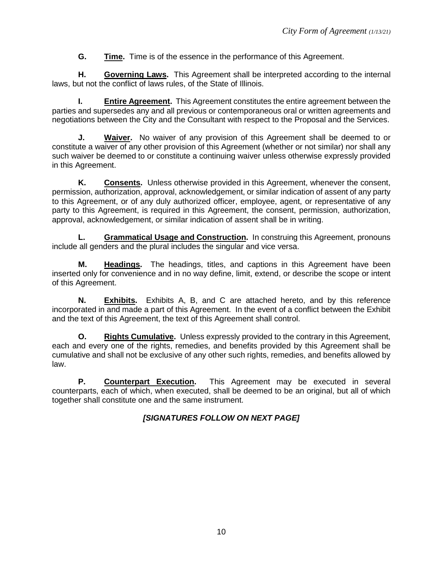**G. Time.** Time is of the essence in the performance of this Agreement.

**H. Governing Laws.** This Agreement shall be interpreted according to the internal laws, but not the conflict of laws rules, of the State of Illinois.

**I. Entire Agreement.** This Agreement constitutes the entire agreement between the parties and supersedes any and all previous or contemporaneous oral or written agreements and negotiations between the City and the Consultant with respect to the Proposal and the Services.

**J. Waiver.** No waiver of any provision of this Agreement shall be deemed to or constitute a waiver of any other provision of this Agreement (whether or not similar) nor shall any such waiver be deemed to or constitute a continuing waiver unless otherwise expressly provided in this Agreement.

**K. Consents.** Unless otherwise provided in this Agreement, whenever the consent, permission, authorization, approval, acknowledgement, or similar indication of assent of any party to this Agreement, or of any duly authorized officer, employee, agent, or representative of any party to this Agreement, is required in this Agreement, the consent, permission, authorization, approval, acknowledgement, or similar indication of assent shall be in writing.

**L. Grammatical Usage and Construction.** In construing this Agreement, pronouns include all genders and the plural includes the singular and vice versa.

**M. Headings.** The headings, titles, and captions in this Agreement have been inserted only for convenience and in no way define, limit, extend, or describe the scope or intent of this Agreement.

**N. Exhibits.** Exhibits A, B, and C are attached hereto, and by this reference incorporated in and made a part of this Agreement. In the event of a conflict between the Exhibit and the text of this Agreement, the text of this Agreement shall control.

**O. Rights Cumulative.** Unless expressly provided to the contrary in this Agreement, each and every one of the rights, remedies, and benefits provided by this Agreement shall be cumulative and shall not be exclusive of any other such rights, remedies, and benefits allowed by law.

**P. Counterpart Execution.** This Agreement may be executed in several counterparts, each of which, when executed, shall be deemed to be an original, but all of which together shall constitute one and the same instrument.

## *[SIGNATURES FOLLOW ON NEXT PAGE]*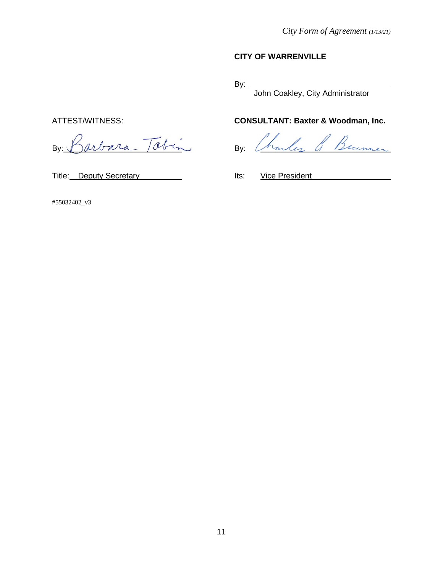## **CITY OF WARRENVILLE**

By:

John Coakley, City Administrator

# ATTEST/WITNESS: **CONSULTANT: Baxter & Woodman, Inc.**

harles & Bunner

By: Barbara Tobin By:

Title: Deputy Secretary **Its:** Vice President

#55032402\_v3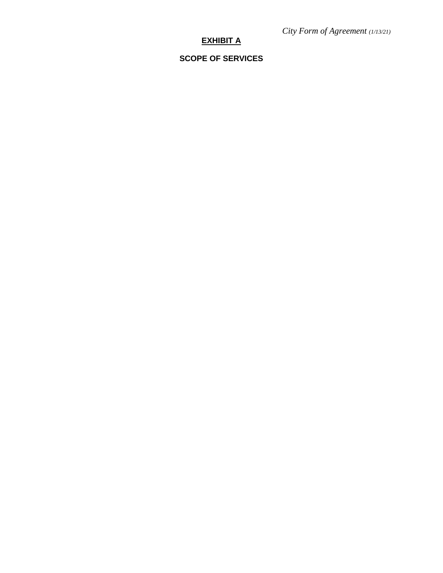# **EXHIBIT A**

# **SCOPE OF SERVICES**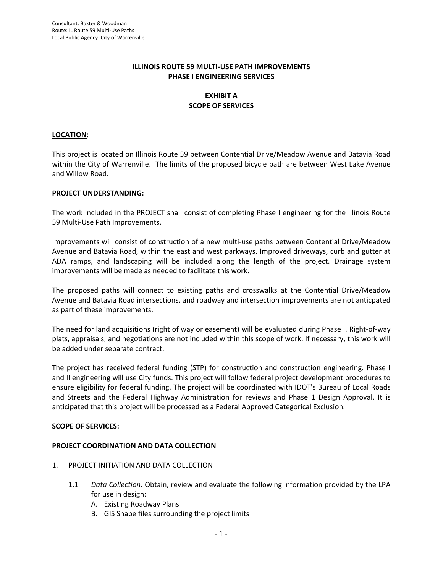### **ILLINOIS ROUTE 59 MULTI‐USE PATH IMPROVEMENTS PHASE I ENGINEERING SERVICES**

## **EXHIBIT A SCOPE OF SERVICES**

#### **LOCATION:**

This project is located on Illinois Route 59 between Contential Drive/Meadow Avenue and Batavia Road within the City of Warrenville. The limits of the proposed bicycle path are between West Lake Avenue and Willow Road.

#### **PROJECT UNDERSTANDING:**

The work included in the PROJECT shall consist of completing Phase I engineering for the Illinois Route 59 Multi‐Use Path Improvements.

Improvements will consist of construction of a new multi-use paths between Contential Drive/Meadow Avenue and Batavia Road, within the east and west parkways. Improved driveways, curb and gutter at ADA ramps, and landscaping will be included along the length of the project. Drainage system improvements will be made as needed to facilitate this work.

The proposed paths will connect to existing paths and crosswalks at the Contential Drive/Meadow Avenue and Batavia Road intersections, and roadway and intersection improvements are not anticpated as part of these improvements.

The need for land acquisitions (right of way or easement) will be evaluated during Phase I. Right‐of‐way plats, appraisals, and negotiations are not included within this scope of work. If necessary, this work will be added under separate contract.

The project has received federal funding (STP) for construction and construction engineering. Phase I and II engineering will use City funds. This project will follow federal project development procedures to ensure eligibility for federal funding. The project will be coordinated with IDOT's Bureau of Local Roads and Streets and the Federal Highway Administration for reviews and Phase 1 Design Approval. It is anticipated that this project will be processed as a Federal Approved Categorical Exclusion.

#### **SCOPE OF SERVICES:**

#### **PROJECT COORDINATION AND DATA COLLECTION**

- 1. PROJECT INITIATION AND DATA COLLECTION
	- 1.1 *Data Collection:* Obtain, review and evaluate the following information provided by the LPA for use in design:
		- A. Existing Roadway Plans
		- B. GIS Shape files surrounding the project limits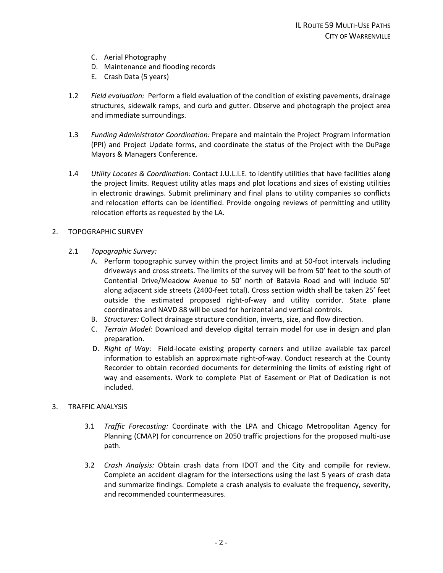- C. Aerial Photography
- D. Maintenance and flooding records
- E. Crash Data (5 years)
- 1.2 *Field evaluation:* Perform a field evaluation of the condition of existing pavements, drainage structures, sidewalk ramps, and curb and gutter. Observe and photograph the project area and immediate surroundings.
- 1.3 *Funding Administrator Coordination:* Prepare and maintain the Project Program Information (PPI) and Project Update forms, and coordinate the status of the Project with the DuPage Mayors & Managers Conference.
- 1.4 *Utility Locates & Coordination:* Contact J.U.L.I.E. to identify utilities that have facilities along the project limits. Request utility atlas maps and plot locations and sizes of existing utilities in electronic drawings. Submit preliminary and final plans to utility companies so conflicts and relocation efforts can be identified. Provide ongoing reviews of permitting and utility relocation efforts as requested by the LA.

#### 2. TOPOGRAPHIC SURVEY

- 2.1 *Topographic Survey:*
	- A. Perform topographic survey within the project limits and at 50‐foot intervals including driveways and cross streets. The limits of the survey will be from 50' feet to the south of Contential Drive/Meadow Avenue to 50' north of Batavia Road and will include 50' along adjacent side streets (2400‐feet total). Cross section width shall be taken 25' feet outside the estimated proposed right‐of‐way and utility corridor. State plane coordinates and NAVD 88 will be used for horizontal and vertical controls.
	- B. *Structures:* Collect drainage structure condition, inverts, size, and flow direction.
	- C. *Terrain Model:* Download and develop digital terrain model for use in design and plan preparation.
	- D. *Right of Way*: Field‐locate existing property corners and utilize available tax parcel information to establish an approximate right‐of‐way. Conduct research at the County Recorder to obtain recorded documents for determining the limits of existing right of way and easements. Work to complete Plat of Easement or Plat of Dedication is not included.

#### 3. TRAFFIC ANALYSIS

- 3.1 *Traffic Forecasting:* Coordinate with the LPA and Chicago Metropolitan Agency for Planning (CMAP) for concurrence on 2050 traffic projections for the proposed multi‐use path.
- 3.2 *Crash Analysis:* Obtain crash data from IDOT and the City and compile for review. Complete an accident diagram for the intersections using the last 5 years of crash data and summarize findings. Complete a crash analysis to evaluate the frequency, severity, and recommended countermeasures.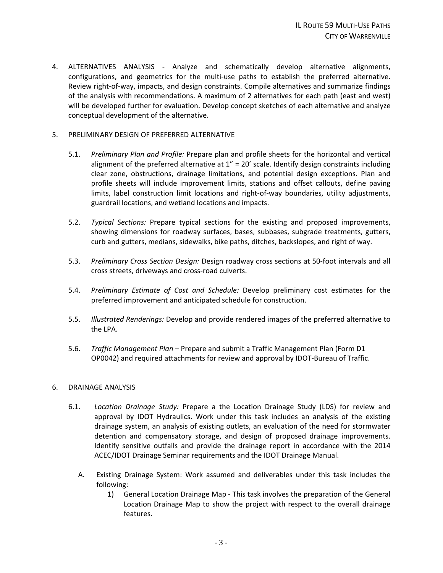4. ALTERNATIVES ANALYSIS - Analyze and schematically develop alternative alignments, configurations, and geometrics for the multi‐use paths to establish the preferred alternative. Review right‐of‐way, impacts, and design constraints. Compile alternatives and summarize findings of the analysis with recommendations. A maximum of 2 alternatives for each path (east and west) will be developed further for evaluation. Develop concept sketches of each alternative and analyze conceptual development of the alternative.

#### 5. PRELIMINARY DESIGN OF PREFERRED ALTERNATIVE

- 5.1. *Preliminary Plan and Profile:* Prepare plan and profile sheets for the horizontal and vertical alignment of the preferred alternative at  $1'' = 20'$  scale. Identify design constraints including clear zone, obstructions, drainage limitations, and potential design exceptions. Plan and profile sheets will include improvement limits, stations and offset callouts, define paving limits, label construction limit locations and right‐of‐way boundaries, utility adjustments, guardrail locations, and wetland locations and impacts.
- 5.2. *Typical Sections:* Prepare typical sections for the existing and proposed improvements, showing dimensions for roadway surfaces, bases, subbases, subgrade treatments, gutters, curb and gutters, medians, sidewalks, bike paths, ditches, backslopes, and right of way.
- 5.3. *Preliminary Cross Section Design:* Design roadway cross sections at 50‐foot intervals and all cross streets, driveways and cross‐road culverts.
- 5.4. *Preliminary Estimate of Cost and Schedule:* Develop preliminary cost estimates for the preferred improvement and anticipated schedule for construction.
- 5.5. *Illustrated Renderings:* Develop and provide rendered images of the preferred alternative to the LPA.
- 5.6. *Traffic Management Plan* Prepare and submit a Traffic Management Plan (Form D1 OP0042) and required attachments for review and approval by IDOT‐Bureau of Traffic.

#### 6. DRAINAGE ANALYSIS

- 6.1. *Location Drainage Study:* Prepare a the Location Drainage Study (LDS) for review and approval by IDOT Hydraulics. Work under this task includes an analysis of the existing drainage system, an analysis of existing outlets, an evaluation of the need for stormwater detention and compensatory storage, and design of proposed drainage improvements. Identify sensitive outfalls and provide the drainage report in accordance with the 2014 ACEC/IDOT Drainage Seminar requirements and the IDOT Drainage Manual.
	- A. Existing Drainage System: Work assumed and deliverables under this task includes the following:
		- 1) General Location Drainage Map ‐ This task involves the preparation of the General Location Drainage Map to show the project with respect to the overall drainage features.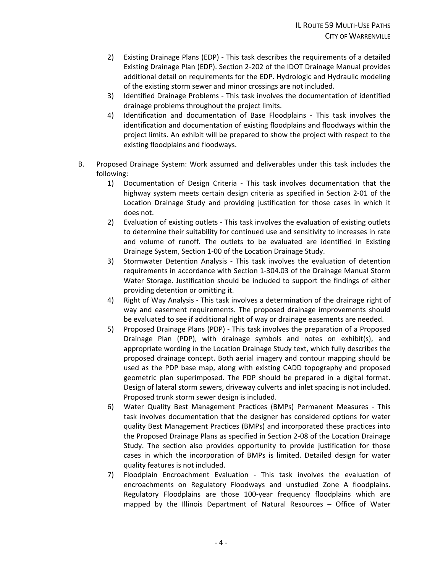- 2) Existing Drainage Plans (EDP) ‐ This task describes the requirements of a detailed Existing Drainage Plan (EDP). Section 2‐202 of the IDOT Drainage Manual provides additional detail on requirements for the EDP. Hydrologic and Hydraulic modeling of the existing storm sewer and minor crossings are not included.
- 3) Identified Drainage Problems ‐ This task involves the documentation of identified drainage problems throughout the project limits.
- 4) Identification and documentation of Base Floodplains This task involves the identification and documentation of existing floodplains and floodways within the project limits. An exhibit will be prepared to show the project with respect to the existing floodplains and floodways.
- B. Proposed Drainage System: Work assumed and deliverables under this task includes the following:
	- 1) Documentation of Design Criteria ‐ This task involves documentation that the highway system meets certain design criteria as specified in Section 2‐01 of the Location Drainage Study and providing justification for those cases in which it does not.
	- 2) Evaluation of existing outlets This task involves the evaluation of existing outlets to determine their suitability for continued use and sensitivity to increases in rate and volume of runoff. The outlets to be evaluated are identified in Existing Drainage System, Section 1‐00 of the Location Drainage Study.
	- 3) Stormwater Detention Analysis ‐ This task involves the evaluation of detention requirements in accordance with Section 1‐304.03 of the Drainage Manual Storm Water Storage. Justification should be included to support the findings of either providing detention or omitting it.
	- 4) Right of Way Analysis ‐ This task involves a determination of the drainage right of way and easement requirements. The proposed drainage improvements should be evaluated to see if additional right of way or drainage easements are needed.
	- 5) Proposed Drainage Plans (PDP) ‐ This task involves the preparation of a Proposed Drainage Plan (PDP), with drainage symbols and notes on exhibit(s), and appropriate wording in the Location Drainage Study text, which fully describes the proposed drainage concept. Both aerial imagery and contour mapping should be used as the PDP base map, along with existing CADD topography and proposed geometric plan superimposed. The PDP should be prepared in a digital format. Design of lateral storm sewers, driveway culverts and inlet spacing is not included. Proposed trunk storm sewer design is included.
	- 6) Water Quality Best Management Practices (BMPs) Permanent Measures ‐ This task involves documentation that the designer has considered options for water quality Best Management Practices (BMPs) and incorporated these practices into the Proposed Drainage Plans as specified in Section 2‐08 of the Location Drainage Study. The section also provides opportunity to provide justification for those cases in which the incorporation of BMPs is limited. Detailed design for water quality features is not included.
	- 7) Floodplain Encroachment Evaluation ‐ This task involves the evaluation of encroachments on Regulatory Floodways and unstudied Zone A floodplains. Regulatory Floodplains are those 100‐year frequency floodplains which are mapped by the Illinois Department of Natural Resources – Office of Water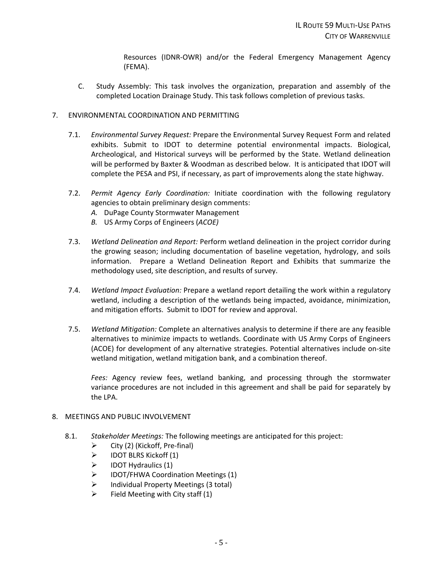Resources (IDNR‐OWR) and/or the Federal Emergency Management Agency (FEMA).

C. Study Assembly: This task involves the organization, preparation and assembly of the completed Location Drainage Study. This task follows completion of previous tasks.

#### 7. ENVIRONMENTAL COORDINATION AND PERMITTING

- 7.1. *Environmental Survey Request:* Prepare the Environmental Survey Request Form and related exhibits. Submit to IDOT to determine potential environmental impacts. Biological, Archeological, and Historical surveys will be performed by the State. Wetland delineation will be performed by Baxter & Woodman as described below. It is anticipated that IDOT will complete the PESA and PSI, if necessary, as part of improvements along the state highway.
- 7.2. *Permit Agency Early Coordination:* Initiate coordination with the following regulatory agencies to obtain preliminary design comments:
	- *A.* DuPage County Stormwater Management
	- *B.* US Army Corps of Engineers (*ACOE)*
- 7.3. *Wetland Delineation and Report:* Perform wetland delineation in the project corridor during the growing season; including documentation of baseline vegetation, hydrology, and soils information. Prepare a Wetland Delineation Report and Exhibits that summarize the methodology used, site description, and results of survey.
- 7.4. *Wetland Impact Evaluation:* Prepare a wetland report detailing the work within a regulatory wetland, including a description of the wetlands being impacted, avoidance, minimization, and mitigation efforts. Submit to IDOT for review and approval.
- 7.5. *Wetland Mitigation:* Complete an alternatives analysis to determine if there are any feasible alternatives to minimize impacts to wetlands. Coordinate with US Army Corps of Engineers (ACOE) for development of any alternative strategies. Potential alternatives include on‐site wetland mitigation, wetland mitigation bank, and a combination thereof.

*Fees:* Agency review fees, wetland banking, and processing through the stormwater variance procedures are not included in this agreement and shall be paid for separately by the LPA.

- 8. MEETINGS AND PUBLIC INVOLVEMENT
	- 8.1. *Stakeholder Meetings:* The following meetings are anticipated for this project:
		- $\triangleright$  City (2) (Kickoff, Pre-final)
		- $\triangleright$  IDOT BLRS Kickoff (1)
		- $\triangleright$  IDOT Hydraulics (1)
		- > IDOT/FHWA Coordination Meetings (1)
		- $\triangleright$  Individual Property Meetings (3 total)
		- $\triangleright$  Field Meeting with City staff (1)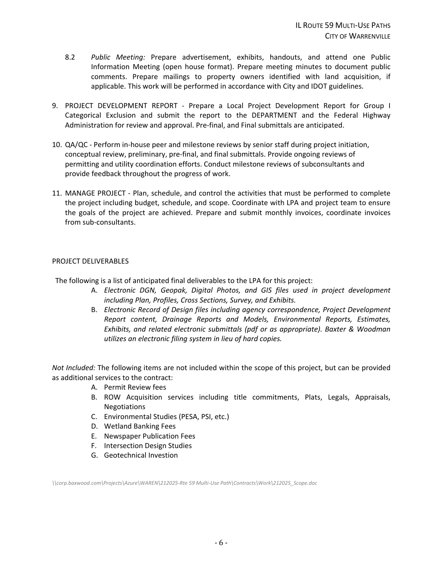- 8.2 *Public Meeting:* Prepare advertisement, exhibits, handouts, and attend one Public Information Meeting (open house format). Prepare meeting minutes to document public comments. Prepare mailings to property owners identified with land acquisition, if applicable. This work will be performed in accordance with City and IDOT guidelines.
- 9. PROJECT DEVELOPMENT REPORT Prepare a Local Project Development Report for Group I Categorical Exclusion and submit the report to the DEPARTMENT and the Federal Highway Administration for review and approval. Pre‐final, and Final submittals are anticipated.
- 10. QA/QC ‐ Perform in‐house peer and milestone reviews by senior staff during project initiation, conceptual review, preliminary, pre‐final, and final submittals. Provide ongoing reviews of permitting and utility coordination efforts. Conduct milestone reviews of subconsultants and provide feedback throughout the progress of work.
- 11. MANAGE PROJECT ‐ Plan, schedule, and control the activities that must be performed to complete the project including budget, schedule, and scope. Coordinate with LPA and project team to ensure the goals of the project are achieved. Prepare and submit monthly invoices, coordinate invoices from sub‐consultants.

#### PROJECT DELIVERABLES

The following is a list of anticipated final deliverables to the LPA for this project:

- A. *Electronic DGN, Geopak, Digital Photos, and GIS files used in project development including Plan, Profiles, Cross Sections, Survey, and Exhibits.*
- B. *Electronic Record of Design files including agency correspondence, Project Development Report content, Drainage Reports and Models, Environmental Reports, Estimates, Exhibits, and related electronic submittals (pdf or as appropriate). Baxter & Woodman utilizes an electronic filing system in lieu of hard copies.*

*Not Included:* The following items are not included within the scope of this project, but can be provided as additional services to the contract:

- A. Permit Review fees
- B. ROW Acquisition services including title commitments, Plats, Legals, Appraisals, Negotiations
- C. Environmental Studies (PESA, PSI, etc.)
- D. Wetland Banking Fees
- E. Newspaper Publication Fees
- F. Intersection Design Studies
- G. Geotechnical Investion

*\\corp.baxwood.com\Projects\Azure\WAREN\212025‐Rte 59 Multi‐Use Path\Contracts\Work\212025\_Scope.doc*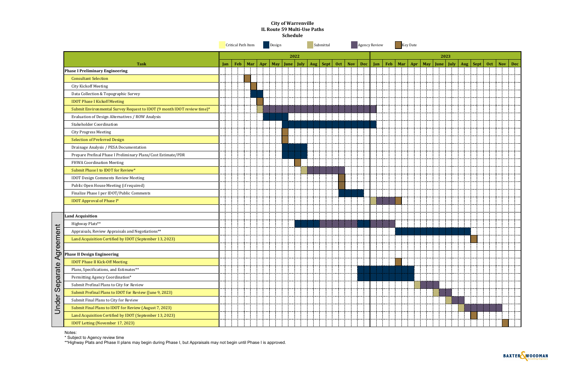|                                                                         |                                                  |            |           |  |  |                                  |   | <b>Schedule</b> |      | IL Route 59 Multi-Use Paths |                                      |  |         |  |                 |  |  |  |                                                        |  |   |  |
|-------------------------------------------------------------------------|--------------------------------------------------|------------|-----------|--|--|----------------------------------|---|-----------------|------|-----------------------------|--------------------------------------|--|---------|--|-----------------|--|--|--|--------------------------------------------------------|--|---|--|
|                                                                         | <b>Critical Path Item</b><br>Design<br>Submittal |            |           |  |  | Key Date<br><b>Agency Review</b> |   |                 |      |                             |                                      |  |         |  |                 |  |  |  |                                                        |  |   |  |
|                                                                         |                                                  |            |           |  |  |                                  |   |                 | 2022 |                             |                                      |  |         |  |                 |  |  |  | 2023                                                   |  |   |  |
| <b>Task</b>                                                             |                                                  | <b>Jan</b> | Feb   Mar |  |  | $~$ Apr $ $                      |   |                 |      |                             | May   June   July   Aug   Sept   Oct |  | Nov Dec |  | Jan   Feb   Mar |  |  |  | Apr   May   June   July   Aug   Sept   Oct   Nov   Dec |  |   |  |
| <b>Phase I Preliminary Engineering</b>                                  |                                                  |            |           |  |  |                                  |   |                 |      |                             |                                      |  |         |  |                 |  |  |  |                                                        |  |   |  |
| <b>Consultant Selection</b>                                             |                                                  |            |           |  |  |                                  |   |                 |      |                             |                                      |  |         |  |                 |  |  |  |                                                        |  |   |  |
| <b>City Kickoff Meeting</b>                                             |                                                  |            |           |  |  |                                  |   |                 |      |                             |                                      |  |         |  |                 |  |  |  |                                                        |  |   |  |
| Data Collection & Topographic Survey                                    |                                                  |            |           |  |  |                                  |   |                 |      |                             |                                      |  |         |  |                 |  |  |  |                                                        |  |   |  |
| <b>IDOT Phase I Kickoff Meeting</b>                                     |                                                  |            |           |  |  |                                  |   |                 |      |                             |                                      |  |         |  |                 |  |  |  |                                                        |  |   |  |
| Submit Environmental Survey Request to IDOT (9 month IDOT review time)* |                                                  |            |           |  |  |                                  |   |                 |      |                             |                                      |  |         |  |                 |  |  |  |                                                        |  |   |  |
| Evaluation of Design Alternatives / ROW Analysis                        |                                                  |            |           |  |  |                                  |   |                 |      |                             |                                      |  |         |  |                 |  |  |  |                                                        |  |   |  |
| <b>Stakeholder Coordination</b>                                         |                                                  |            |           |  |  |                                  |   |                 |      |                             |                                      |  |         |  |                 |  |  |  |                                                        |  |   |  |
| <b>City Progress Meeting</b>                                            |                                                  |            |           |  |  |                                  |   |                 |      |                             |                                      |  |         |  |                 |  |  |  |                                                        |  |   |  |
| <b>Selection of Preferred Design</b>                                    |                                                  |            |           |  |  |                                  |   |                 |      |                             |                                      |  |         |  |                 |  |  |  |                                                        |  |   |  |
| Drainage Analysis / PESA Documentation                                  |                                                  |            |           |  |  |                                  |   |                 |      |                             |                                      |  |         |  |                 |  |  |  |                                                        |  |   |  |
| Prepare Prefinal Phase I Preliminary Plans/Cost Estimate/PDR            |                                                  |            |           |  |  |                                  |   |                 |      |                             |                                      |  |         |  |                 |  |  |  |                                                        |  |   |  |
| FHWA Coordination Meeting                                               |                                                  |            |           |  |  |                                  |   |                 |      |                             |                                      |  |         |  |                 |  |  |  |                                                        |  |   |  |
| Submit Phase I to IDOT for Review*                                      |                                                  |            |           |  |  |                                  |   |                 |      |                             |                                      |  |         |  |                 |  |  |  |                                                        |  |   |  |
| <b>IDOT Design Comments Review Meeting</b>                              |                                                  |            |           |  |  |                                  |   |                 |      |                             |                                      |  |         |  |                 |  |  |  |                                                        |  |   |  |
| Public Open House Meeting (if required)                                 |                                                  |            |           |  |  |                                  |   |                 |      |                             |                                      |  |         |  |                 |  |  |  |                                                        |  |   |  |
| Finalize Phase I per IDOT/Public Comments                               |                                                  |            |           |  |  |                                  |   |                 |      |                             |                                      |  |         |  |                 |  |  |  |                                                        |  |   |  |
| <b>IDOT Approval of Phase I*</b>                                        |                                                  |            |           |  |  |                                  |   |                 |      |                             |                                      |  |         |  |                 |  |  |  |                                                        |  |   |  |
|                                                                         |                                                  |            |           |  |  |                                  |   |                 |      |                             |                                      |  |         |  |                 |  |  |  |                                                        |  |   |  |
| <b>Land Acquisition</b>                                                 |                                                  |            |           |  |  |                                  |   |                 |      |                             |                                      |  |         |  |                 |  |  |  |                                                        |  |   |  |
| Highway Plats**                                                         |                                                  |            |           |  |  |                                  |   |                 |      |                             |                                      |  |         |  |                 |  |  |  |                                                        |  |   |  |
| Appraisals, Review Appraisals and Negotiations**                        |                                                  |            |           |  |  |                                  |   |                 |      |                             |                                      |  |         |  |                 |  |  |  |                                                        |  |   |  |
| Land Acquisition Certified by IDOT (September 13, 2023)                 |                                                  |            |           |  |  |                                  | . |                 |      | a str                       | .                                    |  |         |  |                 |  |  |  |                                                        |  | . |  |
|                                                                         |                                                  |            |           |  |  |                                  |   |                 |      |                             |                                      |  |         |  |                 |  |  |  |                                                        |  |   |  |
| Agreement<br><b>Phase II Design Engineering</b>                         |                                                  |            |           |  |  |                                  |   |                 |      |                             |                                      |  |         |  |                 |  |  |  |                                                        |  |   |  |
| <b>IDOT Phase II Kick-Off Meeting</b>                                   |                                                  |            |           |  |  |                                  |   |                 |      |                             |                                      |  |         |  |                 |  |  |  |                                                        |  |   |  |
| Plans, Specifications, and Estimates**                                  |                                                  |            |           |  |  |                                  |   |                 |      |                             |                                      |  |         |  |                 |  |  |  |                                                        |  |   |  |
| eparate<br>Permitting Agency Coordination*                              |                                                  |            |           |  |  |                                  |   |                 |      |                             |                                      |  |         |  |                 |  |  |  |                                                        |  |   |  |
| Submit Prefinal Plans to City for Review                                |                                                  |            |           |  |  |                                  |   |                 |      |                             |                                      |  |         |  |                 |  |  |  |                                                        |  |   |  |
| ၯ<br>Submit Prefinal Plans to IDOT for Review (June 9, 2023)            |                                                  |            |           |  |  |                                  |   |                 |      |                             |                                      |  |         |  |                 |  |  |  |                                                        |  |   |  |
| Submit Final Plans to City for Review                                   |                                                  |            |           |  |  |                                  |   |                 |      |                             |                                      |  |         |  |                 |  |  |  |                                                        |  |   |  |
| Under<br>Submit Final Plans to IDOT for Review (August 7, 2023)         |                                                  |            |           |  |  |                                  |   |                 |      |                             |                                      |  |         |  |                 |  |  |  |                                                        |  |   |  |
| Land Acquisition Certified by IDOT (September 13, 2023)                 |                                                  |            |           |  |  |                                  |   |                 |      |                             |                                      |  |         |  |                 |  |  |  |                                                        |  |   |  |
| IDOT Letting (November 17, 2023)                                        |                                                  |            |           |  |  |                                  |   |                 |      |                             |                                      |  |         |  |                 |  |  |  |                                                        |  |   |  |

Notes:

\* Subject to Agency review time

\*\*Highway Plats and Phase II plans may begin during Phase I, but Appraisals may not begin until Phase I is approved.



**City of Warrenville**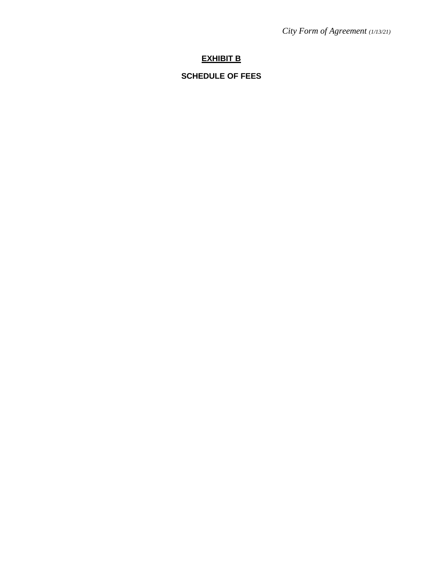*City Form of Agreement (1/13/21)*

# **EXHIBIT B**

# **SCHEDULE OF FEES**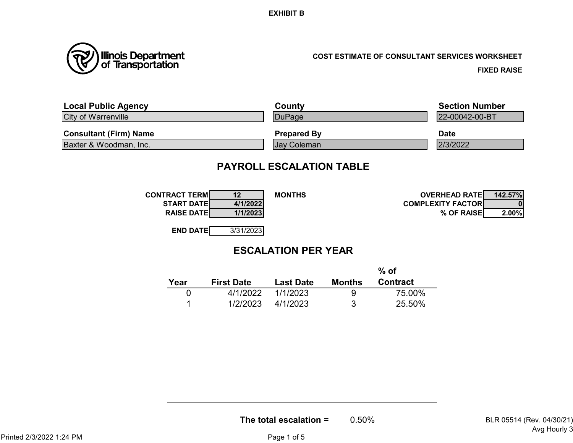

# **COST ESTIMATE OF CONSULTANT SERVICES WORKSHEET**

**FIXED RAISE**

| <b>Local Public Agency</b>    | County             | <b>Section Number</b> |
|-------------------------------|--------------------|-----------------------|
| <b>City of Warrenville</b>    | DuPage             | 22-00042-00-BT        |
| <b>Consultant (Firm) Name</b> | <b>Prepared By</b> | <b>Date</b>           |
| Baxter & Woodman, Inc.        | <b>Jay Coleman</b> | 2/3/2022              |

# **PAYROLL ESCALATION TABLE**

| <b>CONTRACT TERMI</b> | 12        | <b>MONTHS</b> | <b>OVERHEAD RATEL</b>     | 142.57% |
|-----------------------|-----------|---------------|---------------------------|---------|
| <b>START DATE</b>     | 4/1/2022  |               | <b>COMPLEXITY FACTORI</b> |         |
| <b>RAISE DATE</b>     | 1/1/2023  |               | % OF RAISE                | 2.00%   |
|                       |           |               |                           |         |
| <b>END DATE</b>       | 3/31/2023 |               |                           |         |

# **ESCALATION PER YEAR**

|      |                   |                  |        | $%$ of          |
|------|-------------------|------------------|--------|-----------------|
| Year | <b>First Date</b> | <b>Last Date</b> | Months | <b>Contract</b> |
|      | 4/1/2022          | 1/1/2023         | 9      | 75.00%          |
|      | 1/2/2023          | 4/1/2023         | 3      | 25.50%          |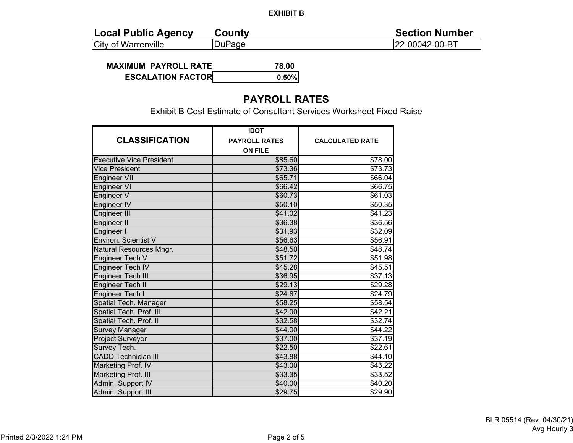| <b>Local Public Agency</b> | <b>County</b> | <b>Section Number</b> |
|----------------------------|---------------|-----------------------|
| <b>City of Warrenville</b> | DuPage        | 22-00042-00-BT        |

**MAXIMUM PAYROLL RATE 78.00 ESCALATION FACTOR0.50%**

# **PAYROLL RATES**

Exhibit B Cost Estimate of Consultant Services Worksheet Fixed Raise

|                                 | <b>IDOT</b>          |                        |
|---------------------------------|----------------------|------------------------|
| <b>CLASSIFICATION</b>           | <b>PAYROLL RATES</b> | <b>CALCULATED RATE</b> |
|                                 | <b>ON FILE</b>       |                        |
| <b>Executive Vice President</b> | \$85.60              | \$78.00                |
| <b>Vice President</b>           | \$73.36              | \$73.73                |
| <b>Engineer VII</b>             | \$65.71              | \$66.04                |
| Engineer VI                     | \$66.42              | \$66.75                |
| Engineer V                      | \$60.73              | \$61.03                |
| Engineer IV                     | \$50.10              | \$50.35                |
| Engineer III                    | \$41.02              | \$41.23                |
| Engineer II                     | \$36.38              | \$36.56                |
| Engineer I                      | \$31.93              | \$32.09                |
| <b>Environ. Scientist V</b>     | \$56.63              | \$56.91                |
| Natural Resources Mngr.         | \$48.50              | \$48.74                |
| Engineer Tech V                 | \$51.72              | \$51.98                |
| Engineer Tech IV                | \$45.28              | \$45.51                |
| <b>Engineer Tech III</b>        | \$36.95              | \$37.13                |
| Engineer Tech II                | \$29.13              | \$29.28                |
| <b>Engineer Tech I</b>          | \$24.67              | \$24.79                |
| Spatial Tech. Manager           | \$58.25              | \$58.54                |
| Spatial Tech. Prof. III         | \$42.00              | \$42.21                |
| Spatial Tech. Prof. II          | \$32.58              | \$32.74                |
| <b>Survey Manager</b>           | \$44.00              | \$44.22                |
| Project Surveyor                | \$37.00              | \$37.19                |
| Survey Tech.                    | \$22.50              | \$22.61                |
| <b>CADD Technician III</b>      | \$43.88              | \$44.10                |
| Marketing Prof. IV              | \$43.00              | \$43.22                |
| Marketing Prof. III             | \$33.35              | \$33.52                |
| Admin. Support IV               | \$40.00              | \$40.20                |
| Admin. Support III              | \$29.75              | \$29.90                |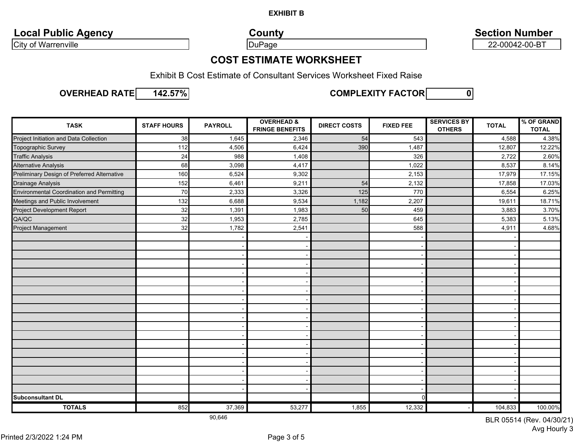**Local Public Agency County County County Section Number** 

City of Warrenville **22-00042-00-BT** 

# **COST ESTIMATE WORKSHEET**

Exhibit B Cost Estimate of Consultant Services Worksheet Fixed Raise

**OVERHEAD RATE 142.57%**



**0 COMPLEXITY FACTOR**

| <b>TASK</b>                                      | <b>STAFF HOURS</b> | <b>PAYROLL</b> | <b>OVERHEAD &amp;</b><br><b>FRINGE BENEFITS</b> | <b>DIRECT COSTS</b> | <b>FIXED FEE</b> | <b>SERVICES BY</b><br><b>OTHERS</b> | <b>TOTAL</b> | % OF GRAND<br><b>TOTAL</b> |
|--------------------------------------------------|--------------------|----------------|-------------------------------------------------|---------------------|------------------|-------------------------------------|--------------|----------------------------|
| Project Initiation and Data Collection           | 38                 | 1,645          | 2,346                                           | 54                  | 543              |                                     | 4,588        | 4.38%                      |
| Topographic Survey                               | 112                | 4,506          | 6,424                                           | 390                 | 1,487            |                                     | 12,807       | 12.22%                     |
| <b>Traffic Analysis</b>                          | 24                 | 988            | 1,408                                           |                     | 326              |                                     | 2,722        | 2.60%                      |
| <b>Alternative Analysis</b>                      | 68                 | 3,098          | 4,417                                           |                     | 1,022            |                                     | 8,537        | 8.14%                      |
| Preliminary Design of Preferred Alternative      | 160                | 6,524          | 9,302                                           |                     | 2,153            |                                     | 17,979       | 17.15%                     |
| Drainage Analysis                                | 152                | 6,461          | 9,211                                           | 54                  | 2,132            |                                     | 17,858       | 17.03%                     |
| <b>Environmental Coordination and Permitting</b> | 70                 | 2,333          | 3,326                                           | 125                 | 770              |                                     | 6,554        | 6.25%                      |
| Meetings and Public Involvement                  | 132                | 6,688          | 9,534                                           | 1,182               | 2,207            |                                     | 19,611       | 18.71%                     |
| Project Development Report                       | 32                 | 1,391          | 1,983                                           | 50                  | 459              |                                     | 3,883        | 3.70%                      |
| QA/QC                                            | 32                 | 1,953          | 2,785                                           |                     | 645              |                                     | 5,383        | 5.13%                      |
| Project Management                               | 32                 | 1,782          | 2,541                                           |                     | 588              |                                     | 4,911        | 4.68%                      |
|                                                  |                    |                |                                                 |                     |                  |                                     |              |                            |
|                                                  |                    |                |                                                 |                     |                  |                                     |              |                            |
|                                                  |                    |                |                                                 |                     |                  |                                     |              |                            |
|                                                  |                    |                |                                                 |                     |                  |                                     |              |                            |
|                                                  |                    |                |                                                 |                     |                  |                                     |              |                            |
|                                                  |                    |                |                                                 |                     |                  |                                     |              |                            |
|                                                  |                    |                |                                                 |                     |                  |                                     |              |                            |
|                                                  |                    |                |                                                 |                     |                  |                                     |              |                            |
|                                                  |                    |                |                                                 |                     |                  |                                     |              |                            |
|                                                  |                    |                |                                                 |                     |                  |                                     |              |                            |
|                                                  |                    |                |                                                 |                     |                  |                                     |              |                            |
|                                                  |                    |                |                                                 |                     |                  |                                     |              |                            |
|                                                  |                    |                |                                                 |                     |                  |                                     |              |                            |
|                                                  |                    |                |                                                 |                     |                  |                                     |              |                            |
|                                                  |                    |                |                                                 |                     |                  |                                     |              |                            |
|                                                  |                    |                |                                                 |                     |                  |                                     |              |                            |
|                                                  |                    |                |                                                 |                     |                  |                                     |              |                            |
|                                                  |                    |                |                                                 |                     |                  |                                     |              |                            |
| <b>Subconsultant DL</b>                          |                    |                |                                                 |                     | ∩                |                                     |              |                            |
| <b>TOTALS</b>                                    | 852                | 37,369         | 53,277                                          | 1,855               | 12,332           |                                     | 104,833      | 100.00%                    |

90,646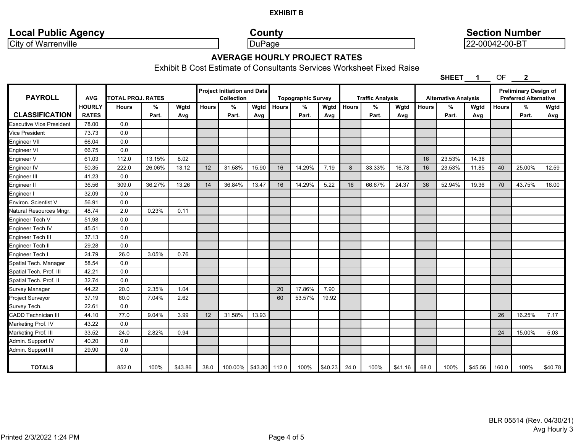# **Local Public Agency County County County Section Number**

City of Warrenville DuPage 22-00042-00-BT

## **AVERAGE HOURLY PROJECT RATES**

Exhibit B Cost Estimate of Consultants Services Worksheet Fixed Raise

**SHEET 1** OF **2**

| <b>PAYROLL</b>                  | <b>AVG</b>    | TOTAL PROJ. RATES |        |         |              | <b>Project Initiation and Data</b><br>Collection |       |              | <b>Topographic Survey</b> |         | <b>Traffic Analysis</b><br><b>Alternative Analysis</b> |        |         | <b>Preliminary Design of</b><br><b>Preferred Alternative</b> |        |         |              |        |            |
|---------------------------------|---------------|-------------------|--------|---------|--------------|--------------------------------------------------|-------|--------------|---------------------------|---------|--------------------------------------------------------|--------|---------|--------------------------------------------------------------|--------|---------|--------------|--------|------------|
|                                 | <b>HOURLY</b> | <b>Hours</b>      | %      | Wgtd    | <b>Hours</b> | %                                                | Wgtd  | <b>Hours</b> | %                         | Wgtd    | <b>Hours</b>                                           | $\%$   | Wgtd    | <b>Hours</b>                                                 | %      | Wgtd    | <b>Hours</b> | %      | Wgtd       |
| <b>CLASSIFICATION</b>           | <b>RATES</b>  |                   | Part.  | Avg     |              | Part.                                            | Avg   |              | Part.                     | Avg     |                                                        | Part.  | Avg     |                                                              | Part.  | Avg     |              | Part.  | <b>Avg</b> |
| <b>Executive Vice President</b> | 78.00         | 0.0               |        |         |              |                                                  |       |              |                           |         |                                                        |        |         |                                                              |        |         |              |        |            |
| <b>Vice President</b>           | 73.73         | 0.0               |        |         |              |                                                  |       |              |                           |         |                                                        |        |         |                                                              |        |         |              |        |            |
| Engineer VII                    | 66.04         | 0.0               |        |         |              |                                                  |       |              |                           |         |                                                        |        |         |                                                              |        |         |              |        |            |
| Engineer VI                     | 66.75         | 0.0               |        |         |              |                                                  |       |              |                           |         |                                                        |        |         |                                                              |        |         |              |        |            |
| Engineer V                      | 61.03         | 112.0             | 13.15% | 8.02    |              |                                                  |       |              |                           |         |                                                        |        |         | 16                                                           | 23.53% | 14.36   |              |        |            |
| Engineer IV                     | 50.35         | 222.0             | 26.06% | 13.12   | 12           | 31.58%                                           | 15.90 | 16           | 14.29%                    | 7.19    | 8                                                      | 33.33% | 16.78   | 16                                                           | 23.53% | 11.85   | 40           | 25.00% | 12.59      |
| Engineer III                    | 41.23         | 0.0               |        |         |              |                                                  |       |              |                           |         |                                                        |        |         |                                                              |        |         |              |        |            |
| Engineer II                     | 36.56         | 309.0             | 36.27% | 13.26   | 14           | 36.84%                                           | 13.47 | 16           | 14.29%                    | 5.22    | 16                                                     | 66.67% | 24.37   | 36                                                           | 52.94% | 19.36   | 70           | 43.75% | 16.00      |
| Engineer I                      | 32.09         | 0.0               |        |         |              |                                                  |       |              |                           |         |                                                        |        |         |                                                              |        |         |              |        |            |
| Environ. Scientist V            | 56.91         | 0.0               |        |         |              |                                                  |       |              |                           |         |                                                        |        |         |                                                              |        |         |              |        |            |
| Natural Resources Mngr.         | 48.74         | 2.0               | 0.23%  | 0.11    |              |                                                  |       |              |                           |         |                                                        |        |         |                                                              |        |         |              |        |            |
| Engineer Tech V                 | 51.98         | 0.0               |        |         |              |                                                  |       |              |                           |         |                                                        |        |         |                                                              |        |         |              |        |            |
| Engineer Tech IV                | 45.51         | 0.0               |        |         |              |                                                  |       |              |                           |         |                                                        |        |         |                                                              |        |         |              |        |            |
| Engineer Tech III               | 37.13         | 0.0               |        |         |              |                                                  |       |              |                           |         |                                                        |        |         |                                                              |        |         |              |        |            |
| Engineer Tech II                | 29.28         | 0.0               |        |         |              |                                                  |       |              |                           |         |                                                        |        |         |                                                              |        |         |              |        |            |
| Engineer Tech I                 | 24.79         | 26.0              | 3.05%  | 0.76    |              |                                                  |       |              |                           |         |                                                        |        |         |                                                              |        |         |              |        |            |
| Spatial Tech. Manager           | 58.54         | 0.0               |        |         |              |                                                  |       |              |                           |         |                                                        |        |         |                                                              |        |         |              |        |            |
| Spatial Tech. Prof. III         | 42.21         | 0.0               |        |         |              |                                                  |       |              |                           |         |                                                        |        |         |                                                              |        |         |              |        |            |
| Spatial Tech. Prof. II          | 32.74         | 0.0               |        |         |              |                                                  |       |              |                           |         |                                                        |        |         |                                                              |        |         |              |        |            |
| <b>Survey Manager</b>           | 44.22         | 20.0              | 2.35%  | 1.04    |              |                                                  |       | 20           | 17.86%                    | 7.90    |                                                        |        |         |                                                              |        |         |              |        |            |
| Project Surveyor                | 37.19         | 60.0              | 7.04%  | 2.62    |              |                                                  |       | 60           | 53.57%                    | 19.92   |                                                        |        |         |                                                              |        |         |              |        |            |
| Survey Tech.                    | 22.61         | 0.0               |        |         |              |                                                  |       |              |                           |         |                                                        |        |         |                                                              |        |         |              |        |            |
| <b>CADD Technician III</b>      | 44.10         | 77.0              | 9.04%  | 3.99    | 12           | 31.58%                                           | 13.93 |              |                           |         |                                                        |        |         |                                                              |        |         | 26           | 16.25% | 7.17       |
| Marketing Prof. IV              | 43.22         | 0.0               |        |         |              |                                                  |       |              |                           |         |                                                        |        |         |                                                              |        |         |              |        |            |
| Marketing Prof. III             | 33.52         | 24.0              | 2.82%  | 0.94    |              |                                                  |       |              |                           |         |                                                        |        |         |                                                              |        |         | 24           | 15.00% | 5.03       |
| Admin. Support IV               | 40.20         | 0.0               |        |         |              |                                                  |       |              |                           |         |                                                        |        |         |                                                              |        |         |              |        |            |
| Admin. Support III              | 29.90         | 0.0               |        |         |              |                                                  |       |              |                           |         |                                                        |        |         |                                                              |        |         |              |        |            |
| <b>TOTALS</b>                   |               | 852.0             | 100%   | \$43.86 | 38.0         | 100.00% \$43.30 112.0                            |       |              | 100%                      | \$40.23 | 24.0                                                   | 100%   | \$41.16 | 68.0                                                         | 100%   | \$45.56 | 160.0        | 100%   | \$40.78    |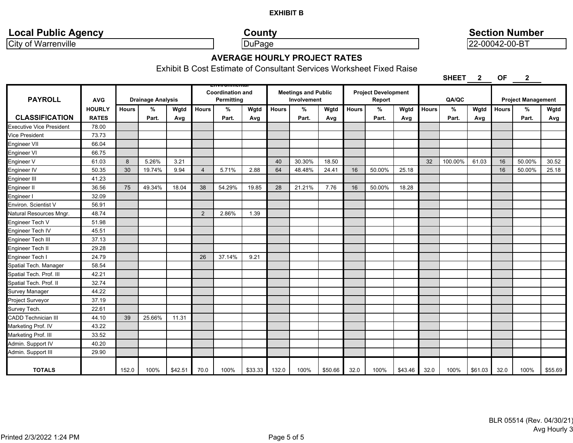# **Local Public Agency County County County Section Number**

City of Warrenville **Contract Contract Contract Contract Contract Contract Contract Contract Contract Contract Contract Contract Contract Contract Contract Contract Contract Contract Contract Contract Contract Contract Con** 

# **AVERAGE HOURLY PROJECT RATES**

Exhibit B Cost Estimate of Consultant Services Worksheet Fixed Raise

**SHEET 2 OF 2**

| <b>PAYROLL</b>             | <b>AVG</b>    |              | <b>Drainage Analysis</b> |         |                | --------------------<br><b>Coordination and</b><br><b>Permitting</b> |         |              | <b>Meetings and Public</b><br>Involvement |         |              | <b>Project Development</b><br>Report |         |              | QA/QC   |         |              | <b>Project Management</b> |         |
|----------------------------|---------------|--------------|--------------------------|---------|----------------|----------------------------------------------------------------------|---------|--------------|-------------------------------------------|---------|--------------|--------------------------------------|---------|--------------|---------|---------|--------------|---------------------------|---------|
|                            | <b>HOURLY</b> | <b>Hours</b> | $\%$                     | Wgtd    | <b>Hours</b>   | %                                                                    | Wgtd    | <b>Hours</b> | %                                         | Wgtd    | <b>Hours</b> | %                                    | Wgtd    | <b>Hours</b> | %       | Wgtd    | <b>Hours</b> | %                         | Wgtd    |
| <b>CLASSIFICATION</b>      | <b>RATES</b>  |              | Part.                    | Avg     |                | Part.                                                                | Avg     |              | Part.                                     | Avg     |              | Part.                                | Avg     |              | Part.   | Avg     |              | Part.                     | Avg     |
| Executive Vice President   | 78.00         |              |                          |         |                |                                                                      |         |              |                                           |         |              |                                      |         |              |         |         |              |                           |         |
| Vice President             | 73.73         |              |                          |         |                |                                                                      |         |              |                                           |         |              |                                      |         |              |         |         |              |                           |         |
| Engineer VII               | 66.04         |              |                          |         |                |                                                                      |         |              |                                           |         |              |                                      |         |              |         |         |              |                           |         |
| Engineer VI                | 66.75         |              |                          |         |                |                                                                      |         |              |                                           |         |              |                                      |         |              |         |         |              |                           |         |
| Engineer V                 | 61.03         | 8            | 5.26%                    | 3.21    |                |                                                                      |         | 40           | 30.30%                                    | 18.50   |              |                                      |         | 32           | 100.00% | 61.03   | 16           | 50.00%                    | 30.52   |
| Engineer IV                | 50.35         | 30           | 19.74%                   | 9.94    | $\overline{4}$ | 5.71%                                                                | 2.88    | 64           | 48.48%                                    | 24.41   | 16           | 50.00%                               | 25.18   |              |         |         | 16           | 50.00%                    | 25.18   |
| Engineer III               | 41.23         |              |                          |         |                |                                                                      |         |              |                                           |         |              |                                      |         |              |         |         |              |                           |         |
| Engineer II                | 36.56         | 75           | 49.34%                   | 18.04   | 38             | 54.29%                                                               | 19.85   | 28           | 21.21%                                    | 7.76    | 16           | 50.00%                               | 18.28   |              |         |         |              |                           |         |
| Engineer I                 | 32.09         |              |                          |         |                |                                                                      |         |              |                                           |         |              |                                      |         |              |         |         |              |                           |         |
| Environ. Scientist V       | 56.91         |              |                          |         |                |                                                                      |         |              |                                           |         |              |                                      |         |              |         |         |              |                           |         |
| Natural Resources Mngr.    | 48.74         |              |                          |         | 2              | 2.86%                                                                | 1.39    |              |                                           |         |              |                                      |         |              |         |         |              |                           |         |
| Engineer Tech V            | 51.98         |              |                          |         |                |                                                                      |         |              |                                           |         |              |                                      |         |              |         |         |              |                           |         |
| Engineer Tech IV           | 45.51         |              |                          |         |                |                                                                      |         |              |                                           |         |              |                                      |         |              |         |         |              |                           |         |
| Engineer Tech III          | 37.13         |              |                          |         |                |                                                                      |         |              |                                           |         |              |                                      |         |              |         |         |              |                           |         |
| Engineer Tech II           | 29.28         |              |                          |         |                |                                                                      |         |              |                                           |         |              |                                      |         |              |         |         |              |                           |         |
| Engineer Tech I            | 24.79         |              |                          |         | 26             | 37.14%                                                               | 9.21    |              |                                           |         |              |                                      |         |              |         |         |              |                           |         |
| Spatial Tech. Manager      | 58.54         |              |                          |         |                |                                                                      |         |              |                                           |         |              |                                      |         |              |         |         |              |                           |         |
| Spatial Tech. Prof. III    | 42.21         |              |                          |         |                |                                                                      |         |              |                                           |         |              |                                      |         |              |         |         |              |                           |         |
| Spatial Tech. Prof. II     | 32.74         |              |                          |         |                |                                                                      |         |              |                                           |         |              |                                      |         |              |         |         |              |                           |         |
| Survey Manager             | 44.22         |              |                          |         |                |                                                                      |         |              |                                           |         |              |                                      |         |              |         |         |              |                           |         |
| Project Surveyor           | 37.19         |              |                          |         |                |                                                                      |         |              |                                           |         |              |                                      |         |              |         |         |              |                           |         |
| Survey Tech.               | 22.61         |              |                          |         |                |                                                                      |         |              |                                           |         |              |                                      |         |              |         |         |              |                           |         |
| <b>CADD Technician III</b> | 44.10         | 39           | 25.66%                   | 11.31   |                |                                                                      |         |              |                                           |         |              |                                      |         |              |         |         |              |                           |         |
| Marketing Prof. IV         | 43.22         |              |                          |         |                |                                                                      |         |              |                                           |         |              |                                      |         |              |         |         |              |                           |         |
| Marketing Prof. III        | 33.52         |              |                          |         |                |                                                                      |         |              |                                           |         |              |                                      |         |              |         |         |              |                           |         |
| Admin. Support IV          | 40.20         |              |                          |         |                |                                                                      |         |              |                                           |         |              |                                      |         |              |         |         |              |                           |         |
| Admin. Support III         | 29.90         |              |                          |         |                |                                                                      |         |              |                                           |         |              |                                      |         |              |         |         |              |                           |         |
| <b>TOTALS</b>              |               | 152.0        | 100%                     | \$42.51 | 70.0           | 100%                                                                 | \$33.33 | 132.0        | 100%                                      | \$50.66 | 32.0         | 100%                                 | \$43.46 | 32.0         | 100%    | \$61.03 | 32.0         | 100%                      | \$55.69 |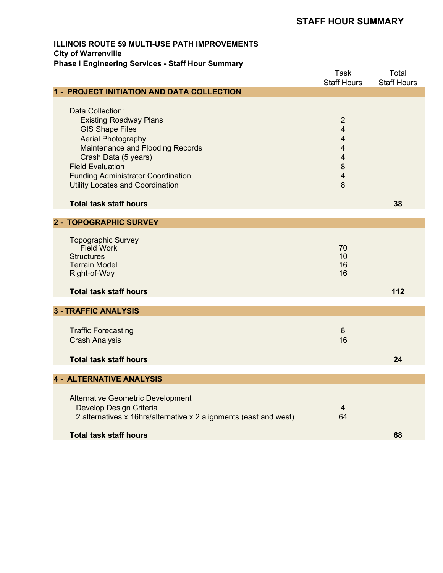# **STAFF HOUR SUMMARY**

## **ILLINOIS ROUTE 59 MULTI-USE PATH IMPROVEMENTS City of Warrenville Phase I Engineering Services - Staff Hour Summary**

|                                                                   | <b>Task</b><br><b>Staff Hours</b> | Total<br><b>Staff Hours</b> |
|-------------------------------------------------------------------|-----------------------------------|-----------------------------|
| 1 - PROJECT INITIATION AND DATA COLLECTION                        |                                   |                             |
|                                                                   |                                   |                             |
| Data Collection:                                                  |                                   |                             |
| <b>Existing Roadway Plans</b>                                     | $\overline{2}$                    |                             |
| <b>GIS Shape Files</b>                                            | $\overline{4}$                    |                             |
| <b>Aerial Photography</b>                                         | $\overline{4}$                    |                             |
| Maintenance and Flooding Records                                  | $\overline{4}$                    |                             |
| Crash Data (5 years)                                              | $\overline{4}$                    |                             |
| <b>Field Evaluation</b>                                           | $\bf 8$                           |                             |
| <b>Funding Administrator Coordination</b>                         | $\overline{\mathbf{4}}$           |                             |
| <b>Utility Locates and Coordination</b>                           | 8                                 |                             |
|                                                                   |                                   |                             |
| <b>Total task staff hours</b>                                     |                                   | 38                          |
|                                                                   |                                   |                             |
| 2 - TOPOGRAPHIC SURVEY                                            |                                   |                             |
| <b>Topographic Survey</b>                                         |                                   |                             |
| <b>Field Work</b>                                                 | 70                                |                             |
| <b>Structures</b>                                                 | 10                                |                             |
| <b>Terrain Model</b>                                              | 16                                |                             |
| Right-of-Way                                                      | 16                                |                             |
|                                                                   |                                   |                             |
| <b>Total task staff hours</b>                                     |                                   | 112                         |
|                                                                   |                                   |                             |
| <b>3 - TRAFFIC ANALYSIS</b>                                       |                                   |                             |
| <b>Traffic Forecasting</b>                                        | 8                                 |                             |
| <b>Crash Analysis</b>                                             | 16                                |                             |
|                                                                   |                                   |                             |
| <b>Total task staff hours</b>                                     |                                   | 24                          |
|                                                                   |                                   |                             |
| <b>4 - ALTERNATIVE ANALYSIS</b>                                   |                                   |                             |
|                                                                   |                                   |                             |
| <b>Alternative Geometric Development</b>                          |                                   |                             |
| Develop Design Criteria                                           | 4                                 |                             |
| 2 alternatives x 16hrs/alternative x 2 alignments (east and west) | 64                                |                             |
|                                                                   |                                   |                             |
| <b>Total task staff hours</b>                                     |                                   | 68                          |
|                                                                   |                                   |                             |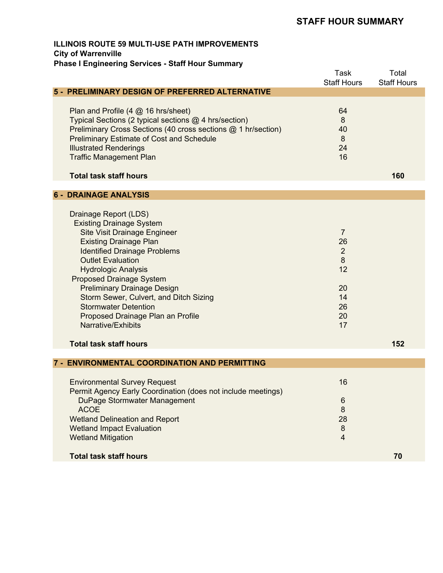# **STAFF HOUR SUMMARY**

## **ILLINOIS ROUTE 59 MULTI-USE PATH IMPROVEMENTS City of Warrenville Phase I Engineering Services - Staff Hour Summary**

|                                                                                                                                                                                                                                                                                                                                                                                                                                                                                 | <b>Task</b><br><b>Staff Hours</b>                                               | Total<br><b>Staff Hours</b> |
|---------------------------------------------------------------------------------------------------------------------------------------------------------------------------------------------------------------------------------------------------------------------------------------------------------------------------------------------------------------------------------------------------------------------------------------------------------------------------------|---------------------------------------------------------------------------------|-----------------------------|
| 5 - PRELIMINARY DESIGN OF PREFERRED ALTERNATIVE                                                                                                                                                                                                                                                                                                                                                                                                                                 |                                                                                 |                             |
| Plan and Profile (4 @ 16 hrs/sheet)<br>Typical Sections (2 typical sections @ 4 hrs/section)<br>Preliminary Cross Sections (40 cross sections @ 1 hr/section)<br><b>Preliminary Estimate of Cost and Schedule</b><br><b>Illustrated Renderings</b><br><b>Traffic Management Plan</b><br><b>Total task staff hours</b>                                                                                                                                                           | 64<br>8<br>40<br>8<br>24<br>16                                                  | 160                         |
| <b>6 - DRAINAGE ANALYSIS</b>                                                                                                                                                                                                                                                                                                                                                                                                                                                    |                                                                                 |                             |
| Drainage Report (LDS)<br><b>Existing Drainage System</b><br><b>Site Visit Drainage Engineer</b><br><b>Existing Drainage Plan</b><br><b>Identified Drainage Problems</b><br><b>Outlet Evaluation</b><br><b>Hydrologic Analysis</b><br><b>Proposed Drainage System</b><br><b>Preliminary Drainage Design</b><br>Storm Sewer, Culvert, and Ditch Sizing<br><b>Stormwater Detention</b><br>Proposed Drainage Plan an Profile<br>Narrative/Exhibits<br><b>Total task staff hours</b> | $\overline{7}$<br>26<br>$\overline{2}$<br>8<br>12<br>20<br>14<br>26<br>20<br>17 | 152                         |
| 7 - ENVIRONMENTAL COORDINATION AND PERMITTING                                                                                                                                                                                                                                                                                                                                                                                                                                   |                                                                                 |                             |
| <b>Environmental Survey Request</b><br>Permit Agency Early Coordination (does not include meetings)<br>DuPage Stormwater Management<br><b>ACOE</b><br><b>Wetland Delineation and Report</b><br><b>Wetland Impact Evaluation</b><br><b>Wetland Mitigation</b>                                                                                                                                                                                                                    | 16<br>$6\phantom{1}6$<br>$\bf 8$<br>28<br>$\bf 8$<br>$\overline{4}$             |                             |
| <b>Total task staff hours</b>                                                                                                                                                                                                                                                                                                                                                                                                                                                   |                                                                                 | 70                          |
|                                                                                                                                                                                                                                                                                                                                                                                                                                                                                 |                                                                                 |                             |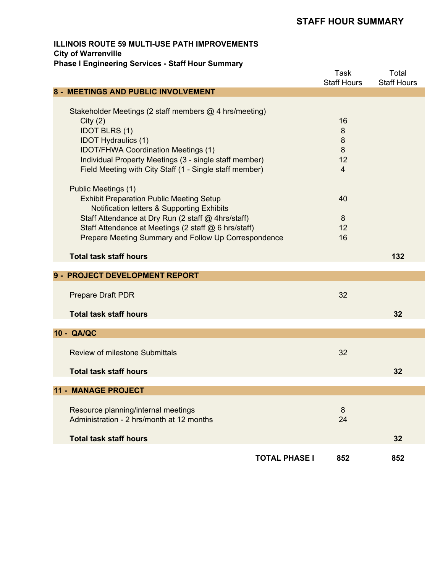# **STAFF HOUR SUMMARY**

## **ILLINOIS ROUTE 59 MULTI-USE PATH IMPROVEMENTS City of Warrenville Phase I Engineering Services - Staff Hour Summary**

|                                                                                                                                                                                                                                                                                                                                                                                                                                                                                                                                                                                                     | <b>Task</b><br><b>Staff Hours</b>                                | Total<br><b>Staff Hours</b> |
|-----------------------------------------------------------------------------------------------------------------------------------------------------------------------------------------------------------------------------------------------------------------------------------------------------------------------------------------------------------------------------------------------------------------------------------------------------------------------------------------------------------------------------------------------------------------------------------------------------|------------------------------------------------------------------|-----------------------------|
| 8 - MEETINGS AND PUBLIC INVOLVEMENT                                                                                                                                                                                                                                                                                                                                                                                                                                                                                                                                                                 |                                                                  |                             |
| Stakeholder Meetings (2 staff members @ 4 hrs/meeting)<br>City(2)<br><b>IDOT BLRS (1)</b><br><b>IDOT Hydraulics (1)</b><br><b>IDOT/FHWA Coordination Meetings (1)</b><br>Individual Property Meetings (3 - single staff member)<br>Field Meeting with City Staff (1 - Single staff member)<br>Public Meetings (1)<br><b>Exhibit Preparation Public Meeting Setup</b><br><b>Notification letters &amp; Supporting Exhibits</b><br>Staff Attendance at Dry Run (2 staff @ 4hrs/staff)<br>Staff Attendance at Meetings (2 staff @ 6 hrs/staff)<br>Prepare Meeting Summary and Follow Up Correspondence | 16<br>8<br>8<br>8<br>12<br>$\overline{4}$<br>40<br>8<br>12<br>16 |                             |
| <b>Total task staff hours</b>                                                                                                                                                                                                                                                                                                                                                                                                                                                                                                                                                                       |                                                                  | 132                         |
|                                                                                                                                                                                                                                                                                                                                                                                                                                                                                                                                                                                                     |                                                                  |                             |
| 9 - PROJECT DEVELOPMENT REPORT                                                                                                                                                                                                                                                                                                                                                                                                                                                                                                                                                                      |                                                                  |                             |
| <b>Prepare Draft PDR</b>                                                                                                                                                                                                                                                                                                                                                                                                                                                                                                                                                                            | 32                                                               |                             |
| <b>Total task staff hours</b>                                                                                                                                                                                                                                                                                                                                                                                                                                                                                                                                                                       |                                                                  | 32                          |
|                                                                                                                                                                                                                                                                                                                                                                                                                                                                                                                                                                                                     |                                                                  |                             |
| 10 - QA/QC                                                                                                                                                                                                                                                                                                                                                                                                                                                                                                                                                                                          |                                                                  |                             |
| <b>Review of milestone Submittals</b>                                                                                                                                                                                                                                                                                                                                                                                                                                                                                                                                                               | 32                                                               |                             |
| <b>Total task staff hours</b>                                                                                                                                                                                                                                                                                                                                                                                                                                                                                                                                                                       |                                                                  | 32                          |
|                                                                                                                                                                                                                                                                                                                                                                                                                                                                                                                                                                                                     |                                                                  |                             |
| <b>11 - MANAGE PROJECT</b>                                                                                                                                                                                                                                                                                                                                                                                                                                                                                                                                                                          |                                                                  |                             |
| Resource planning/internal meetings<br>Administration - 2 hrs/month at 12 months<br><b>Total task staff hours</b>                                                                                                                                                                                                                                                                                                                                                                                                                                                                                   | 8<br>24                                                          | 32                          |
|                                                                                                                                                                                                                                                                                                                                                                                                                                                                                                                                                                                                     |                                                                  |                             |
| <b>TOTAL PHASE I</b>                                                                                                                                                                                                                                                                                                                                                                                                                                                                                                                                                                                | 852                                                              | 852                         |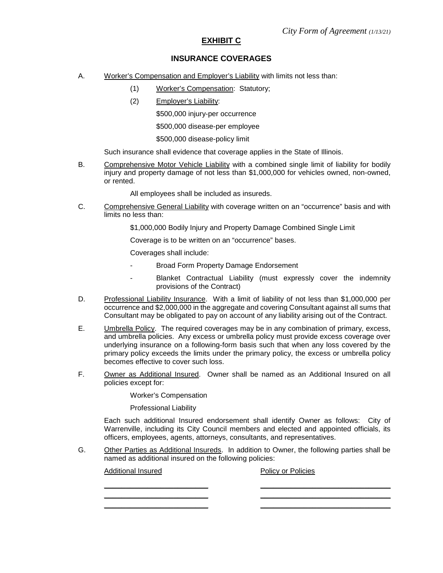### **EXHIBIT C**

#### **INSURANCE COVERAGES**

- A. Worker's Compensation and Employer's Liability with limits not less than:
	- (1) Worker's Compensation: Statutory;
	- (2) Employer's Liability:

\$500,000 injury-per occurrence

\$500,000 disease-per employee

\$500,000 disease-policy limit

Such insurance shall evidence that coverage applies in the State of Illinois.

B. Comprehensive Motor Vehicle Liability with a combined single limit of liability for bodily injury and property damage of not less than \$1,000,000 for vehicles owned, non-owned, or rented.

All employees shall be included as insureds.

- C. Comprehensive General Liability with coverage written on an "occurrence" basis and with limits no less than:
	- \$1,000,000 Bodily Injury and Property Damage Combined Single Limit

Coverage is to be written on an "occurrence" bases.

Coverages shall include:

- Broad Form Property Damage Endorsement
- Blanket Contractual Liability (must expressly cover the indemnity provisions of the Contract)
- D. Professional Liability Insurance. With a limit of liability of not less than \$1,000,000 per occurrence and \$2,000,000 in the aggregate and covering Consultant against all sums that Consultant may be obligated to pay on account of any liability arising out of the Contract.
- E. Umbrella Policy. The required coverages may be in any combination of primary, excess, and umbrella policies. Any excess or umbrella policy must provide excess coverage over underlying insurance on a following-form basis such that when any loss covered by the primary policy exceeds the limits under the primary policy, the excess or umbrella policy becomes effective to cover such loss.
- F. Owner as Additional Insured. Owner shall be named as an Additional Insured on all policies except for:

Worker's Compensation

Professional Liability

Each such additional Insured endorsement shall identify Owner as follows: City of Warrenville, including its City Council members and elected and appointed officials, its officers, employees, agents, attorneys, consultants, and representatives.

\_\_\_\_\_\_\_\_\_\_\_\_\_\_\_\_\_\_\_\_\_\_\_\_ \_\_\_\_\_\_\_\_\_\_\_\_\_\_\_\_\_\_\_\_\_\_\_\_\_\_\_\_\_\_

G. Other Parties as Additional Insureds. In addition to Owner, the following parties shall be named as additional insured on the following policies:

Additional Insured **Policies** Policy or Policies

\_\_\_\_\_\_\_\_\_\_\_\_\_\_\_\_\_\_\_\_\_\_\_\_ \_\_\_\_\_\_\_\_\_\_\_\_\_\_\_\_\_\_\_\_\_\_\_\_\_\_\_\_\_\_ \_\_\_\_\_\_\_\_\_\_\_\_\_\_\_\_\_\_\_\_\_\_\_\_ \_\_\_\_\_\_\_\_\_\_\_\_\_\_\_\_\_\_\_\_\_\_\_\_\_\_\_\_\_\_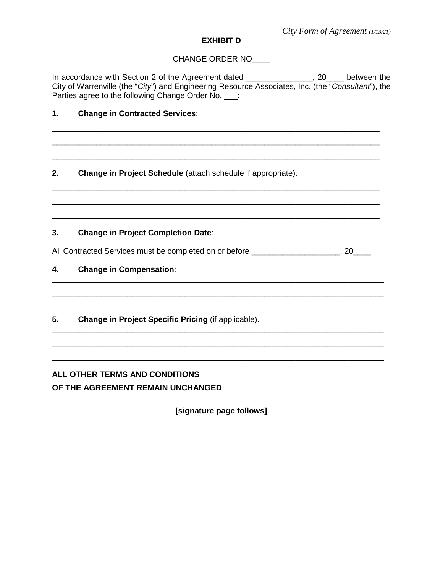## **EXHIBIT D**

## CHANGE ORDER NO\_\_\_\_

In accordance with Section 2 of the Agreement dated \_\_\_\_\_\_\_\_\_\_\_\_\_\_\_, 20\_\_\_\_ between the City of Warrenville (the "*City*") and Engineering Resource Associates, Inc. (the "*Consultant*"), the Parties agree to the following Change Order No. \_\_\_:

\_\_\_\_\_\_\_\_\_\_\_\_\_\_\_\_\_\_\_\_\_\_\_\_\_\_\_\_\_\_\_\_\_\_\_\_\_\_\_\_\_\_\_\_\_\_\_\_\_\_\_\_\_\_\_\_\_\_\_\_\_\_\_\_\_\_\_\_\_\_\_\_\_\_ \_\_\_\_\_\_\_\_\_\_\_\_\_\_\_\_\_\_\_\_\_\_\_\_\_\_\_\_\_\_\_\_\_\_\_\_\_\_\_\_\_\_\_\_\_\_\_\_\_\_\_\_\_\_\_\_\_\_\_\_\_\_\_\_\_\_\_\_\_\_\_\_\_\_ \_\_\_\_\_\_\_\_\_\_\_\_\_\_\_\_\_\_\_\_\_\_\_\_\_\_\_\_\_\_\_\_\_\_\_\_\_\_\_\_\_\_\_\_\_\_\_\_\_\_\_\_\_\_\_\_\_\_\_\_\_\_\_\_\_\_\_\_\_\_\_\_\_\_

\_\_\_\_\_\_\_\_\_\_\_\_\_\_\_\_\_\_\_\_\_\_\_\_\_\_\_\_\_\_\_\_\_\_\_\_\_\_\_\_\_\_\_\_\_\_\_\_\_\_\_\_\_\_\_\_\_\_\_\_\_\_\_\_\_\_\_\_\_\_\_\_\_\_ \_\_\_\_\_\_\_\_\_\_\_\_\_\_\_\_\_\_\_\_\_\_\_\_\_\_\_\_\_\_\_\_\_\_\_\_\_\_\_\_\_\_\_\_\_\_\_\_\_\_\_\_\_\_\_\_\_\_\_\_\_\_\_\_\_\_\_\_\_\_\_\_\_\_

## **1. Change in Contracted Services**:

**2. Change in Project Schedule** (attach schedule if appropriate):

## **3. Change in Project Completion Date**:

All Contracted Services must be completed on or before **Example 20**, 20

\_\_\_\_\_\_\_\_\_\_\_\_\_\_\_\_\_\_\_\_\_\_\_\_\_\_\_\_\_\_\_\_\_\_\_\_\_\_\_\_\_\_\_\_\_\_\_\_\_\_\_\_\_\_\_\_\_\_\_\_\_\_\_\_\_\_\_\_\_\_\_\_\_\_\_ \_\_\_\_\_\_\_\_\_\_\_\_\_\_\_\_\_\_\_\_\_\_\_\_\_\_\_\_\_\_\_\_\_\_\_\_\_\_\_\_\_\_\_\_\_\_\_\_\_\_\_\_\_\_\_\_\_\_\_\_\_\_\_\_\_\_\_\_\_\_\_\_\_\_\_

\_\_\_\_\_\_\_\_\_\_\_\_\_\_\_\_\_\_\_\_\_\_\_\_\_\_\_\_\_\_\_\_\_\_\_\_\_\_\_\_\_\_\_\_\_\_\_\_\_\_\_\_\_\_\_\_\_\_\_\_\_\_\_\_\_\_\_\_\_\_\_\_\_\_\_ \_\_\_\_\_\_\_\_\_\_\_\_\_\_\_\_\_\_\_\_\_\_\_\_\_\_\_\_\_\_\_\_\_\_\_\_\_\_\_\_\_\_\_\_\_\_\_\_\_\_\_\_\_\_\_\_\_\_\_\_\_\_\_\_\_\_\_\_\_\_\_\_\_\_\_ \_\_\_\_\_\_\_\_\_\_\_\_\_\_\_\_\_\_\_\_\_\_\_\_\_\_\_\_\_\_\_\_\_\_\_\_\_\_\_\_\_\_\_\_\_\_\_\_\_\_\_\_\_\_\_\_\_\_\_\_\_\_\_\_\_\_\_\_\_\_\_\_\_\_\_

\_\_\_\_\_\_\_\_\_\_\_\_\_\_\_\_\_\_\_\_\_\_\_\_\_\_\_\_\_\_\_\_\_\_\_\_\_\_\_\_\_\_\_\_\_\_\_\_\_\_\_\_\_\_\_\_\_\_\_\_\_\_\_\_\_\_\_\_\_\_\_\_\_\_

## **4. Change in Compensation**:

## **5. Change in Project Specific Pricing** (if applicable).

# **ALL OTHER TERMS AND CONDITIONS OF THE AGREEMENT REMAIN UNCHANGED**

**[signature page follows]**